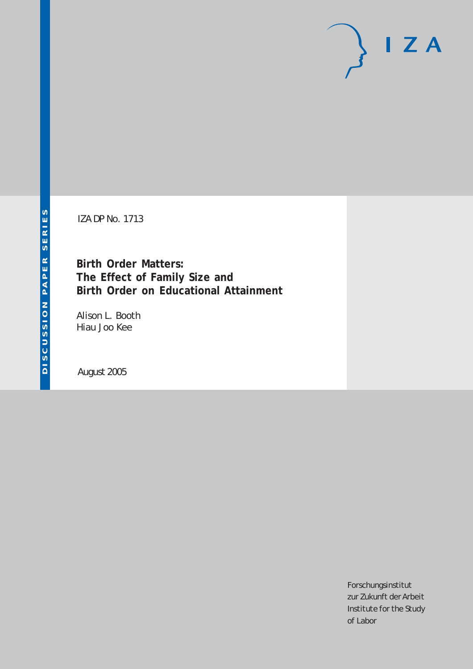# $I Z A$

IZA DP No. 1713

**Birth Order Matters: The Effect of Family Size and Birth Order on Educational Attainment**

Alison L. Booth Hiau Joo Kee

August 2005

Forschungsinstitut zur Zukunft der Arbeit Institute for the Study of Labor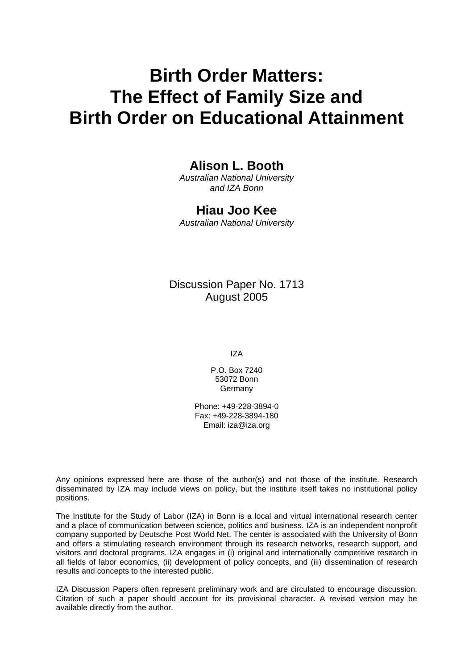# **Birth Order Matters: The Effect of Family Size and Birth Order on Educational Attainment**

# **Alison L. Booth**

*Australian National University and IZA Bonn* 

### **Hiau Joo Kee**

*Australian National University* 

# Discussion Paper No. 1713 August 2005

IZA

P.O. Box 7240 53072 Bonn Germany

Phone: +49-228-3894-0 Fax: +49-228-3894-180 Email: [iza@iza.org](mailto:iza@iza.org)

Any opinions expressed here are those of the author(s) and not those of the institute. Research disseminated by IZA may include views on policy, but the institute itself takes no institutional policy positions.

The Institute for the Study of Labor (IZA) in Bonn is a local and virtual international research center and a place of communication between science, politics and business. IZA is an independent nonprofit company supported by Deutsche Post World Net. The center is associated with the University of Bonn and offers a stimulating research environment through its research networks, research support, and visitors and doctoral programs. IZA engages in (i) original and internationally competitive research in all fields of labor economics, (ii) development of policy concepts, and (iii) dissemination of research results and concepts to the interested public.

IZA Discussion Papers often represent preliminary work and are circulated to encourage discussion. Citation of such a paper should account for its provisional character. A revised version may be available directly from the author.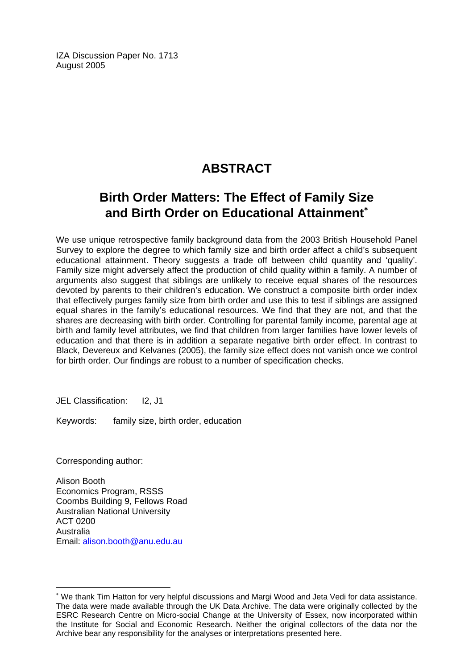IZA Discussion Paper No. 1713 August 2005

# **ABSTRACT**

# **Birth Order Matters: The Effect of Family Size and Birth Order on Educational Attainment**[∗](#page-2-0)

We use unique retrospective family background data from the 2003 British Household Panel Survey to explore the degree to which family size and birth order affect a child's subsequent educational attainment. Theory suggests a trade off between child quantity and 'quality'. Family size might adversely affect the production of child quality within a family. A number of arguments also suggest that siblings are unlikely to receive equal shares of the resources devoted by parents to their children's education. We construct a composite birth order index that effectively purges family size from birth order and use this to test if siblings are assigned equal shares in the family's educational resources. We find that they are not, and that the shares are decreasing with birth order. Controlling for parental family income, parental age at birth and family level attributes, we find that children from larger families have lower levels of education and that there is in addition a separate negative birth order effect. In contrast to Black, Devereux and Kelvanes (2005), the family size effect does not vanish once we control for birth order. Our findings are robust to a number of specification checks.

JEL Classification: I2, J1

Keywords: family size, birth order, education

Corresponding author:

 $\overline{a}$ 

Alison Booth Economics Program, RSSS Coombs Building 9, Fellows Road Australian National University ACT 0200 Australia Email: [alison.booth@anu.edu.au](mailto:alison.booth@anu.edu.au)

<span id="page-2-0"></span><sup>∗</sup> We thank Tim Hatton for very helpful discussions and Margi Wood and Jeta Vedi for data assistance. The data were made available through the UK Data Archive. The data were originally collected by the ESRC Research Centre on Micro-social Change at the University of Essex, now incorporated within the Institute for Social and Economic Research. Neither the original collectors of the data nor the Archive bear any responsibility for the analyses or interpretations presented here.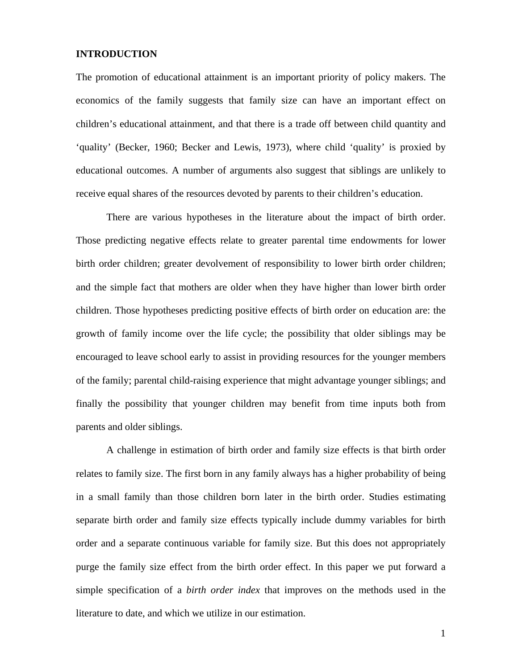### **INTRODUCTION**

The promotion of educational attainment is an important priority of policy makers. The economics of the family suggests that family size can have an important effect on children's educational attainment, and that there is a trade off between child quantity and 'quality' (Becker, 1960; Becker and Lewis, 1973), where child 'quality' is proxied by educational outcomes. A number of arguments also suggest that siblings are unlikely to receive equal shares of the resources devoted by parents to their children's education.

There are various hypotheses in the literature about the impact of birth order. Those predicting negative effects relate to greater parental time endowments for lower birth order children; greater devolvement of responsibility to lower birth order children; and the simple fact that mothers are older when they have higher than lower birth order children. Those hypotheses predicting positive effects of birth order on education are: the growth of family income over the life cycle; the possibility that older siblings may be encouraged to leave school early to assist in providing resources for the younger members of the family; parental child-raising experience that might advantage younger siblings; and finally the possibility that younger children may benefit from time inputs both from parents and older siblings.

A challenge in estimation of birth order and family size effects is that birth order relates to family size. The first born in any family always has a higher probability of being in a small family than those children born later in the birth order. Studies estimating separate birth order and family size effects typically include dummy variables for birth order and a separate continuous variable for family size. But this does not appropriately purge the family size effect from the birth order effect. In this paper we put forward a simple specification of a *birth order index* that improves on the methods used in the literature to date, and which we utilize in our estimation.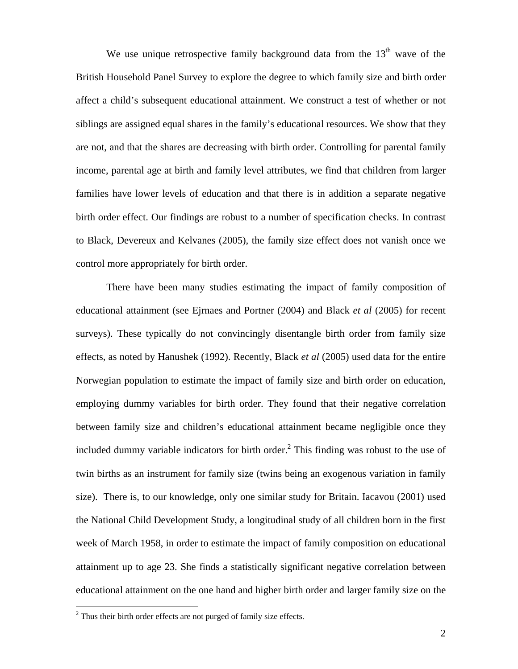We use unique retrospective family background data from the  $13<sup>th</sup>$  wave of the British Household Panel Survey to explore the degree to which family size and birth order affect a child's subsequent educational attainment. We construct a test of whether or not siblings are assigned equal shares in the family's educational resources. We show that they are not, and that the shares are decreasing with birth order. Controlling for parental family income, parental age at birth and family level attributes, we find that children from larger families have lower levels of education and that there is in addition a separate negative birth order effect. Our findings are robust to a number of specification checks. In contrast to Black, Devereux and Kelvanes (2005), the family size effect does not vanish once we control more appropriately for birth order.

There have been many studies estimating the impact of family composition of educational attainment (see Ejrnaes and Portner (2004) and Black *et al* (2005) for recent surveys). These typically do not convincingly disentangle birth order from family size effects, as noted by Hanushek (1992). Recently, Black *et al* (2005) used data for the entire Norwegian population to estimate the impact of family size and birth order on education, employing dummy variables for birth order. They found that their negative correlation between family size and children's educational attainment became negligible once they included dummy variable indicators for birth order. $<sup>2</sup>$  $<sup>2</sup>$  $<sup>2</sup>$  This finding was robust to the use of</sup> twin births as an instrument for family size (twins being an exogenous variation in family size). There is, to our knowledge, only one similar study for Britain. Iacavou (2001) used the National Child Development Study, a longitudinal study of all children born in the first week of March 1958, in order to estimate the impact of family composition on educational attainment up to age 23. She finds a statistically significant negative correlation between educational attainment on the one hand and higher birth order and larger family size on the

 $\overline{a}$ 

<span id="page-4-0"></span> $2$  Thus their birth order effects are not purged of family size effects.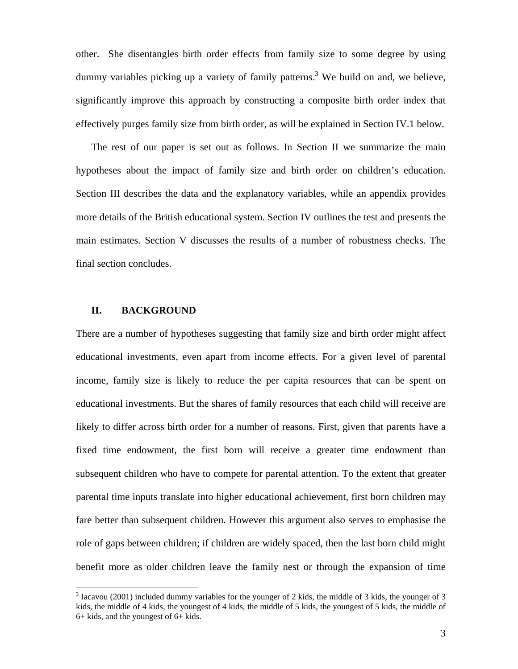other. She disentangles birth order effects from family size to some degree by using dummy variables picking up a variety of family patterns.<sup>[3](#page-5-0)</sup> We build on and, we believe, significantly improve this approach by constructing a composite birth order index that effectively purges family size from birth order, as will be explained in Section IV.1 below.

The rest of our paper is set out as follows. In Section II we summarize the main hypotheses about the impact of family size and birth order on children's education. Section III describes the data and the explanatory variables, while an appendix provides more details of the British educational system. Section IV outlines the test and presents the main estimates. Section V discusses the results of a number of robustness checks. The final section concludes.

### **II. BACKGROUND**

 $\overline{a}$ 

There are a number of hypotheses suggesting that family size and birth order might affect educational investments, even apart from income effects. For a given level of parental income, family size is likely to reduce the per capita resources that can be spent on educational investments. But the shares of family resources that each child will receive are likely to differ across birth order for a number of reasons. First, given that parents have a fixed time endowment, the first born will receive a greater time endowment than subsequent children who have to compete for parental attention. To the extent that greater parental time inputs translate into higher educational achievement, first born children may fare better than subsequent children. However this argument also serves to emphasise the role of gaps between children; if children are widely spaced, then the last born child might benefit more as older children leave the family nest or through the expansion of time

<span id="page-5-0"></span> $3$  Iacavou (2001) included dummy variables for the younger of 2 kids, the middle of 3 kids, the younger of 3 kids, the middle of 4 kids, the youngest of 4 kids, the middle of 5 kids, the youngest of 5 kids, the middle of 6+ kids, and the youngest of 6+ kids.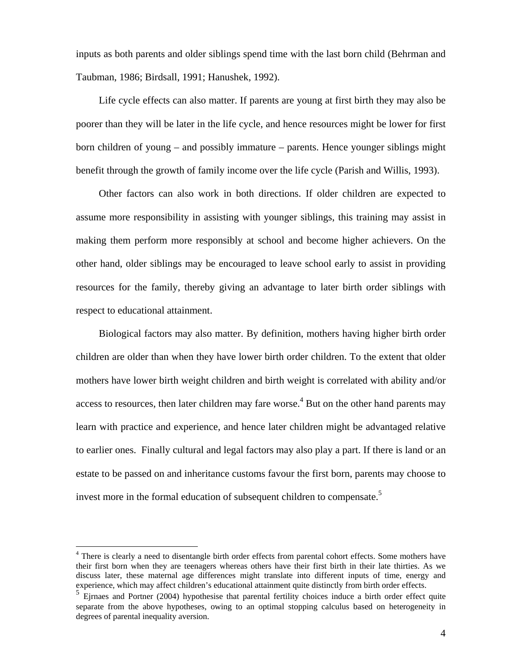inputs as both parents and older siblings spend time with the last born child (Behrman and Taubman, 1986; Birdsall, 1991; Hanushek, 1992).

Life cycle effects can also matter. If parents are young at first birth they may also be poorer than they will be later in the life cycle, and hence resources might be lower for first born children of young – and possibly immature – parents. Hence younger siblings might benefit through the growth of family income over the life cycle (Parish and Willis, 1993).

Other factors can also work in both directions. If older children are expected to assume more responsibility in assisting with younger siblings, this training may assist in making them perform more responsibly at school and become higher achievers. On the other hand, older siblings may be encouraged to leave school early to assist in providing resources for the family, thereby giving an advantage to later birth order siblings with respect to educational attainment.

Biological factors may also matter. By definition, mothers having higher birth order children are older than when they have lower birth order children. To the extent that older mothers have lower birth weight children and birth weight is correlated with ability and/or access to resources, then later children may fare worse.<sup>[4](#page-6-0)</sup> But on the other hand parents may learn with practice and experience, and hence later children might be advantaged relative to earlier ones. Finally cultural and legal factors may also play a part. If there is land or an estate to be passed on and inheritance customs favour the first born, parents may choose to invest more in the formal education of subsequent children to compensate.<sup>[5](#page-6-1)</sup>

 $\overline{a}$ 

<span id="page-6-0"></span><sup>&</sup>lt;sup>4</sup> There is clearly a need to disentangle birth order effects from parental cohort effects. Some mothers have their first born when they are teenagers whereas others have their first birth in their late thirties. As we discuss later, these maternal age differences might translate into different inputs of time, energy and experience, which may affect children's educational attainment quite distinctly from birth order effects.

<span id="page-6-1"></span> $<sup>5</sup>$  Ejrnaes and Portner (2004) hypothesise that parental fertility choices induce a birth order effect quite</sup> separate from the above hypotheses, owing to an optimal stopping calculus based on heterogeneity in degrees of parental inequality aversion.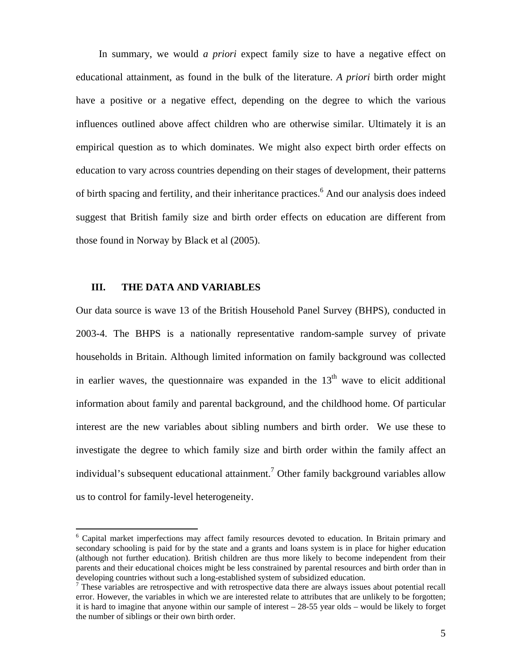In summary, we would *a priori* expect family size to have a negative effect on educational attainment, as found in the bulk of the literature. *A priori* birth order might have a positive or a negative effect, depending on the degree to which the various influences outlined above affect children who are otherwise similar. Ultimately it is an empirical question as to which dominates. We might also expect birth order effects on education to vary across countries depending on their stages of development, their patterns of birth spacing and fertility, and their inheritance practices.<sup>[6](#page-7-0)</sup> And our analysis does indeed suggest that British family size and birth order effects on education are different from those found in Norway by Black et al (2005).

### **III. THE DATA AND VARIABLES**

 $\overline{a}$ 

Our data source is wave 13 of the British Household Panel Survey (BHPS), conducted in 2003-4. The BHPS is a nationally representative random-sample survey of private households in Britain. Although limited information on family background was collected in earlier waves, the questionnaire was expanded in the  $13<sup>th</sup>$  wave to elicit additional information about family and parental background, and the childhood home. Of particular interest are the new variables about sibling numbers and birth order. We use these to investigate the degree to which family size and birth order within the family affect an individual's subsequent educational attainment.<sup>7</sup> Other family background variables allow us to control for family-level heterogeneity.

<span id="page-7-0"></span><sup>&</sup>lt;sup>6</sup> Capital market imperfections may affect family resources devoted to education. In Britain primary and secondary schooling is paid for by the state and a grants and loans system is in place for higher education (although not further education). British children are thus more likely to become independent from their parents and their educational choices might be less constrained by parental resources and birth order than in developing countries without such a long-established system of subsidized education. 7

<span id="page-7-1"></span>These variables are retrospective and with retrospective data there are always issues about potential recall error. However, the variables in which we are interested relate to attributes that are unlikely to be forgotten; it is hard to imagine that anyone within our sample of interest – 28-55 year olds – would be likely to forget the number of siblings or their own birth order.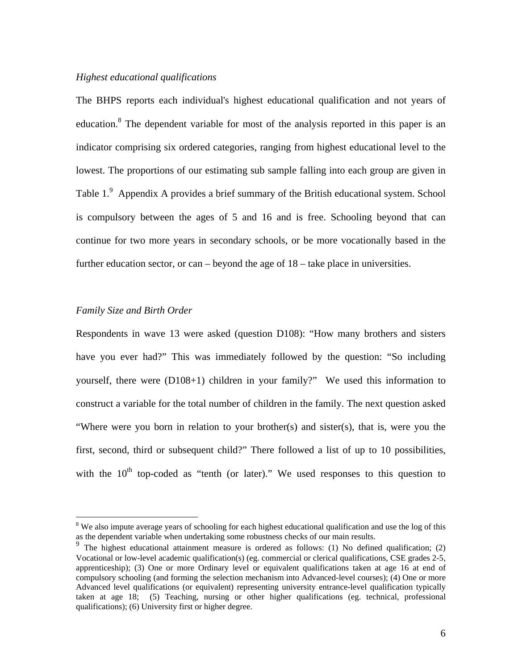### *Highest educational qualifications*

The BHPS reports each individual's highest educational qualification and not years of education.<sup>[8](#page-8-0)</sup> The dependent variable for most of the analysis reported in this paper is an indicator comprising six ordered categories, ranging from highest educational level to the lowest. The proportions of our estimating sub sample falling into each group are given in Table 1.<sup>[9](#page-8-1)</sup> Appendix A provides a brief summary of the British educational system. School is compulsory between the ages of 5 and 16 and is free. Schooling beyond that can continue for two more years in secondary schools, or be more vocationally based in the further education sector, or can – beyond the age of 18 – take place in universities.

### *Family Size and Birth Order*

 $\overline{a}$ 

Respondents in wave 13 were asked (question D108): "How many brothers and sisters have you ever had?" This was immediately followed by the question: "So including yourself, there were (D108+1) children in your family?" We used this information to construct a variable for the total number of children in the family. The next question asked "Where were you born in relation to your brother(s) and sister(s), that is, were you the first, second, third or subsequent child?" There followed a list of up to 10 possibilities, with the  $10<sup>th</sup>$  top-coded as "tenth (or later)." We used responses to this question to

<span id="page-8-0"></span><sup>&</sup>lt;sup>8</sup> We also impute average years of schooling for each highest educational qualification and use the log of this as the dependent variable when undertaking some robustness checks of our main results.<br><sup>9</sup> The highest educational attainment measure is ordered as follows: (1) No defined qualification; (2)

<span id="page-8-1"></span>Vocational or low-level academic qualification(s) (eg. commercial or clerical qualifications, CSE grades 2-5, apprenticeship); (3) One or more Ordinary level or equivalent qualifications taken at age 16 at end of compulsory schooling (and forming the selection mechanism into Advanced-level courses); (4) One or more Advanced level qualifications (or equivalent) representing university entrance-level qualification typically taken at age 18; (5) Teaching, nursing or other higher qualifications (eg. technical, professional qualifications); (6) University first or higher degree.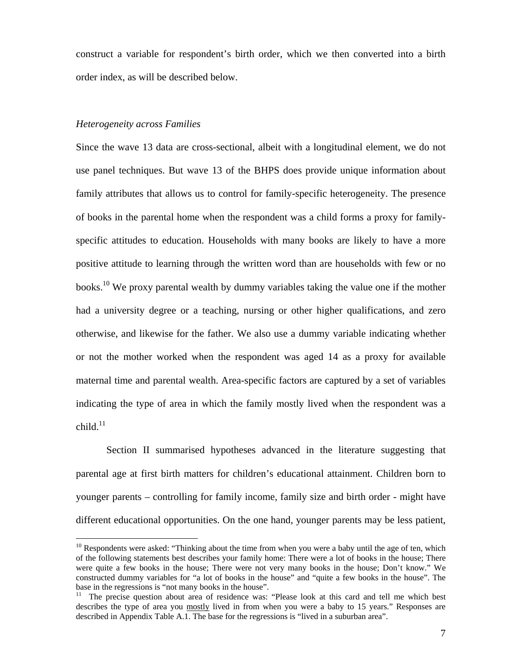construct a variable for respondent's birth order, which we then converted into a birth order index, as will be described below.

### *Heterogeneity across Families*

 $\overline{a}$ 

Since the wave 13 data are cross-sectional, albeit with a longitudinal element, we do not use panel techniques. But wave 13 of the BHPS does provide unique information about family attributes that allows us to control for family-specific heterogeneity. The presence of books in the parental home when the respondent was a child forms a proxy for familyspecific attitudes to education. Households with many books are likely to have a more positive attitude to learning through the written word than are households with few or no books.<sup>10</sup> We proxy parental wealth by dummy variables taking the value one if the mother had a university degree or a teaching, nursing or other higher qualifications, and zero otherwise, and likewise for the father. We also use a dummy variable indicating whether or not the mother worked when the respondent was aged 14 as a proxy for available maternal time and parental wealth. Area-specific factors are captured by a set of variables indicating the type of area in which the family mostly lived when the respondent was a child. $11$ 

Section II summarised hypotheses advanced in the literature suggesting that parental age at first birth matters for children's educational attainment. Children born to younger parents – controlling for family income, family size and birth order - might have different educational opportunities. On the one hand, younger parents may be less patient,

<span id="page-9-0"></span> $10$  Respondents were asked: "Thinking about the time from when you were a baby until the age of ten, which of the following statements best describes your family home: There were a lot of books in the house; There were quite a few books in the house; There were not very many books in the house; Don't know." We constructed dummy variables for "a lot of books in the house" and "quite a few books in the house". The base in the regressions is "not many books in the house".<br><sup>11</sup> The precise question about area of residence was: "Please look at this card and tell me which best

<span id="page-9-1"></span>describes the type of area you mostly lived in from when you were a baby to 15 years." Responses are described in Appendix Table A.1. The base for the regressions is "lived in a suburban area".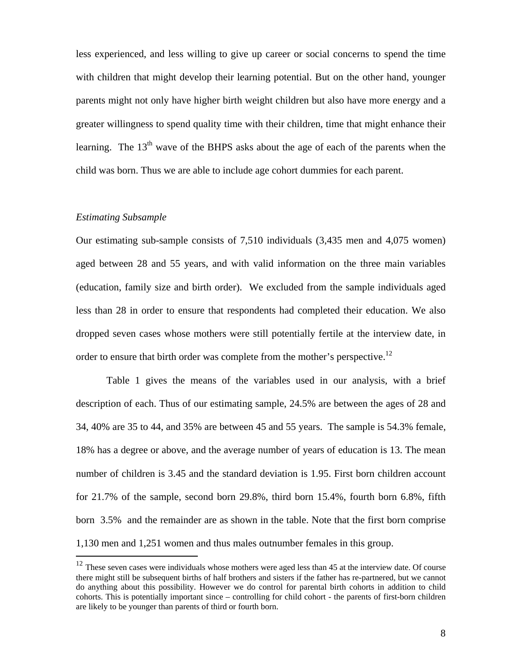less experienced, and less willing to give up career or social concerns to spend the time with children that might develop their learning potential. But on the other hand, younger parents might not only have higher birth weight children but also have more energy and a greater willingness to spend quality time with their children, time that might enhance their learning. The  $13<sup>th</sup>$  wave of the BHPS asks about the age of each of the parents when the child was born. Thus we are able to include age cohort dummies for each parent.

### *Estimating Subsample*

Our estimating sub-sample consists of 7,510 individuals (3,435 men and 4,075 women) aged between 28 and 55 years, and with valid information on the three main variables (education, family size and birth order). We excluded from the sample individuals aged less than 28 in order to ensure that respondents had completed their education. We also dropped seven cases whose mothers were still potentially fertile at the interview date, in order to ensure that birth order was complete from the mother's perspective.<sup>12</sup>

Table 1 gives the means of the variables used in our analysis, with a brief description of each. Thus of our estimating sample, 24.5% are between the ages of 28 and 34, 40% are 35 to 44, and 35% are between 45 and 55 years. The sample is 54.3% female, 18% has a degree or above, and the average number of years of education is 13. The mean number of children is 3.45 and the standard deviation is 1.95. First born children account for 21.7% of the sample, second born 29.8%, third born 15.4%, fourth born 6.8%, fifth born 3.5% and the remainder are as shown in the table. Note that the first born comprise 1,130 men and 1,251 women and thus males outnumber females in this group.  $\overline{a}$ 

<span id="page-10-0"></span> $12$  These seven cases were individuals whose mothers were aged less than 45 at the interview date. Of course there might still be subsequent births of half brothers and sisters if the father has re-partnered, but we cannot do anything about this possibility. However we do control for parental birth cohorts in addition to child cohorts. This is potentially important since – controlling for child cohort - the parents of first-born children are likely to be younger than parents of third or fourth born.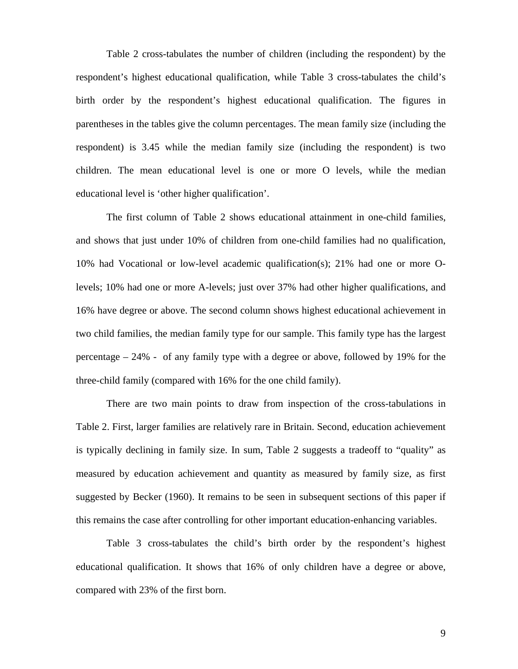Table 2 cross-tabulates the number of children (including the respondent) by the respondent's highest educational qualification, while Table 3 cross-tabulates the child's birth order by the respondent's highest educational qualification. The figures in parentheses in the tables give the column percentages. The mean family size (including the respondent) is 3.45 while the median family size (including the respondent) is two children. The mean educational level is one or more O levels, while the median educational level is 'other higher qualification'.

The first column of Table 2 shows educational attainment in one-child families, and shows that just under 10% of children from one-child families had no qualification, 10% had Vocational or low-level academic qualification(s); 21% had one or more Olevels; 10% had one or more A-levels; just over 37% had other higher qualifications, and 16% have degree or above. The second column shows highest educational achievement in two child families, the median family type for our sample. This family type has the largest percentage – 24% - of any family type with a degree or above, followed by 19% for the three-child family (compared with 16% for the one child family).

There are two main points to draw from inspection of the cross-tabulations in Table 2. First, larger families are relatively rare in Britain. Second, education achievement is typically declining in family size. In sum, Table 2 suggests a tradeoff to "quality" as measured by education achievement and quantity as measured by family size, as first suggested by Becker (1960). It remains to be seen in subsequent sections of this paper if this remains the case after controlling for other important education-enhancing variables.

Table 3 cross-tabulates the child's birth order by the respondent's highest educational qualification. It shows that 16% of only children have a degree or above, compared with 23% of the first born.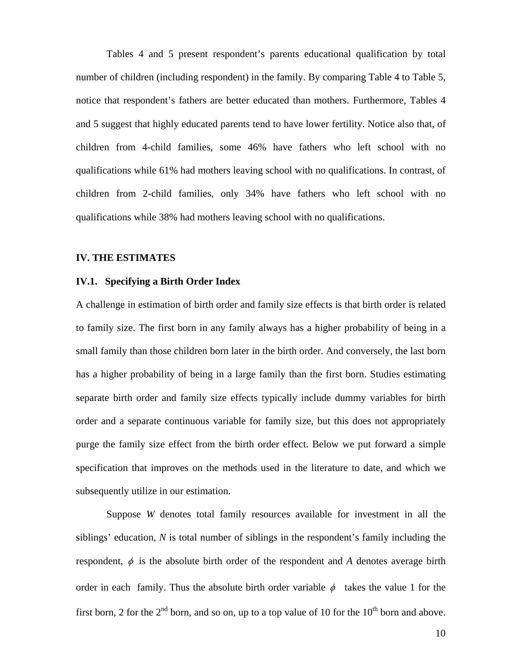Tables 4 and 5 present respondent's parents educational qualification by total number of children (including respondent) in the family. By comparing Table 4 to Table 5, notice that respondent's fathers are better educated than mothers. Furthermore, Tables 4 and 5 suggest that highly educated parents tend to have lower fertility. Notice also that, of children from 4-child families, some 46% have fathers who left school with no qualifications while 61% had mothers leaving school with no qualifications. In contrast, of children from 2-child families, only 34% have fathers who left school with no qualifications while 38% had mothers leaving school with no qualifications.

### **IV. THE ESTIMATES**

### **IV.1. Specifying a Birth Order Index**

A challenge in estimation of birth order and family size effects is that birth order is related to family size. The first born in any family always has a higher probability of being in a small family than those children born later in the birth order. And conversely, the last born has a higher probability of being in a large family than the first born. Studies estimating separate birth order and family size effects typically include dummy variables for birth order and a separate continuous variable for family size, but this does not appropriately purge the family size effect from the birth order effect. Below we put forward a simple specification that improves on the methods used in the literature to date, and which we subsequently utilize in our estimation.

Suppose *W* denotes total family resources available for investment in all the siblings' education, *N* is total number of siblings in the respondent's family including the respondent,  $\phi$  is the absolute birth order of the respondent and *A* denotes average birth order in each family. Thus the absolute birth order variable  $\phi$  takes the value 1 for the first born, 2 for the  $2^{nd}$  born, and so on, up to a top value of 10 for the  $10^{th}$  born and above.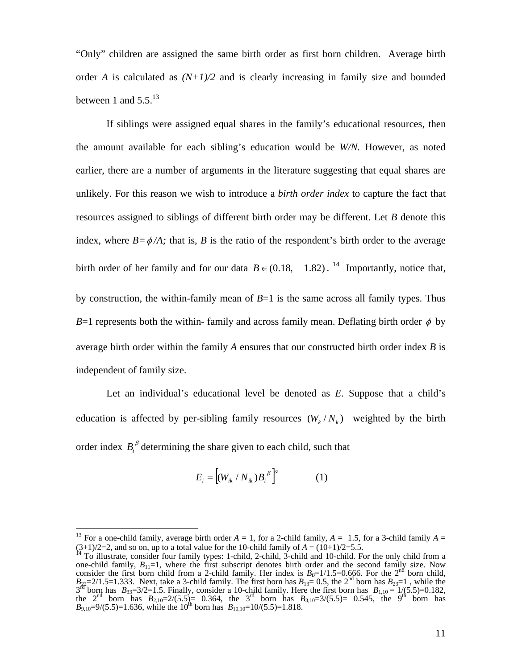"Only" children are assigned the same birth order as first born children. Average birth order *A* is calculated as  $(N+1)/2$  and is clearly increasing in family size and bounded between 1 and  $5.5^{13}$ 

If siblings were assigned equal shares in the family's educational resources, then the amount available for each sibling's education would be *W/N.* However, as noted earlier, there are a number of arguments in the literature suggesting that equal shares are unlikely. For this reason we wish to introduce a *birth order index* to capture the fact that resources assigned to siblings of different birth order may be different. Let *B* denote this index, where  $B = \phi/A$ ; that is, *B* is the ratio of the respondent's birth order to the average birth order of her family and for our data  $B \in (0.18, 1.82)$ . <sup>14</sup> Importantly, notice that, by construction, the within-family mean of *B*=1 is the same across all family types. Thus *B*=1 represents both the within-family and across family mean. Deflating birth order  $\phi$  by average birth order within the family *A* ensures that our constructed birth order index *B* is independent of family size.

Let an individual's educational level be denoted as *E*. Suppose that a child's education is affected by per-sibling family resources  $(W_k / N_k)$  weighted by the birth order index  $B_i^{\beta}$  determining the share given to each child, such that

$$
E_i = \left[ (W_{ik} / N_{ik}) B_i^{\beta} \right]^{\alpha} \tag{1}
$$

 $\overline{a}$ 

<span id="page-13-0"></span><sup>&</sup>lt;sup>13</sup> For a one-child family, average birth order  $A = 1$ , for a 2-child family,  $A = 1.5$ , for a 3-child family  $A =$ (3+1)/2=2, and so on, up to a total value for the 10-child family of  $A = (10+1)/2=5.5$ .<br><sup>14</sup> To illustrate, consider four family types: 1-child, 2-child, 3-child and 10-child. For the only child from a

<span id="page-13-1"></span>one-child family,  $B_{11}=1$ , where the first subscript denotes birth order and the second family size. Now consider the first born child from a 2-child family. Her index is  $B_{12}=1/1.5=0.666$ . For the 2<sup>nd</sup> born child,  $B_{22}=2/1.5=1.333$ . Next, take a 3-child family. The first born has  $B_{13}=0.5$ , the 2<sup>nd</sup> born has  $B_{23}=1$ , while the  $3^{r\bar{d}}$  born has  $B_{33}=3/2=1.5$ . Finally, consider a 10-child family. Here the first born has  $B_{1,10}=1/(5.5)=0.182$ , the  $2^{nd}$  born has  $B_{2,10}=2/(5.5)=0.364$ , the 3<sup>rd</sup> born has  $B_{3,10}=3/(5.5)=0.545$ , the 9<sup>th</sup> born has  $B_{9,10} = 9/(5.5) = 1.636$ , while the 10<sup>th</sup> born has  $B_{10,10} = 10/(5.5) = 1.818$ .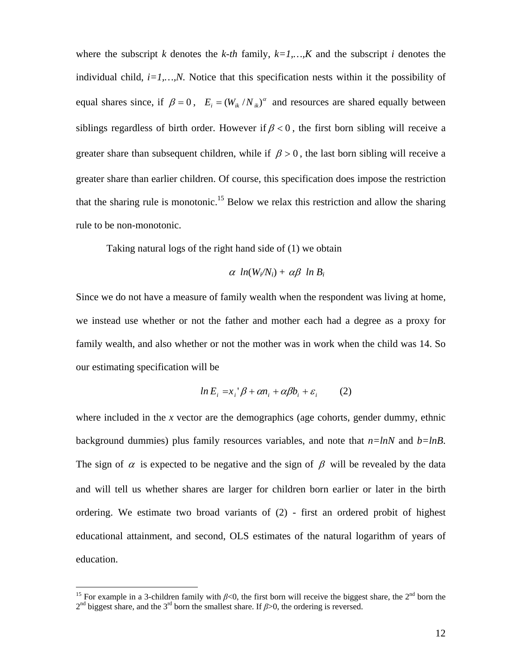where the subscript *k* denotes the *k-th* family,  $k=1,...,K$  and the subscript *i* denotes the individual child, *i=1,…,N.* Notice that this specification nests within it the possibility of equal shares since, if  $\beta = 0$ ,  $E_i = (W_{ik}/N_{ik})^{\alpha}$  and resources are shared equally between siblings regardless of birth order. However if  $\beta < 0$ , the first born sibling will receive a greater share than subsequent children, while if  $\beta > 0$ , the last born sibling will receive a greater share than earlier children. Of course, this specification does impose the restriction that the sharing rule is monotonic.<sup>15</sup> Below we relax this restriction and allow the sharing rule to be non-monotonic.

Taking natural logs of the right hand side of (1) we obtain

$$
\alpha \ ln(W_i/N_i) + \alpha \beta \ ln B_i
$$

Since we do not have a measure of family wealth when the respondent was living at home, we instead use whether or not the father and mother each had a degree as a proxy for family wealth, and also whether or not the mother was in work when the child was 14. So our estimating specification will be

$$
ln E_i = x_i' \beta + \alpha n_i + \alpha \beta b_i + \varepsilon_i \qquad (2)
$$

where included in the *x* vector are the demographics (age cohorts, gender dummy, ethnic background dummies) plus family resources variables, and note that *n=lnN* and *b=lnB*. The sign of  $\alpha$  is expected to be negative and the sign of  $\beta$  will be revealed by the data and will tell us whether shares are larger for children born earlier or later in the birth ordering. We estimate two broad variants of (2) - first an ordered probit of highest educational attainment, and second, OLS estimates of the natural logarithm of years of education.

 $\overline{a}$ 

<span id="page-14-0"></span><sup>&</sup>lt;sup>15</sup> For example in a 3-children family with  $\beta$ <0, the first born will receive the biggest share, the 2<sup>nd</sup> born the 2nd biggest share, and the 3rd born the smallest share. If *β*>0, the ordering is reversed.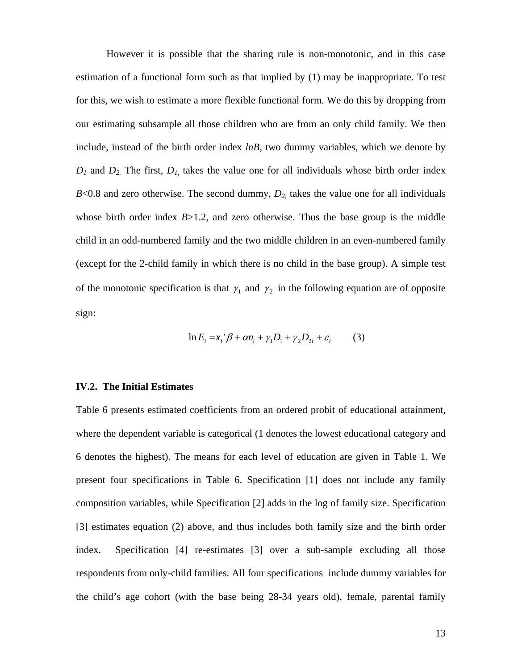However it is possible that the sharing rule is non-monotonic, and in this case estimation of a functional form such as that implied by (1) may be inappropriate. To test for this, we wish to estimate a more flexible functional form. We do this by dropping from our estimating subsample all those children who are from an only child family. We then include, instead of the birth order index *lnB*, two dummy variables, which we denote by  $D_1$  and  $D_2$ . The first,  $D_1$ , takes the value one for all individuals whose birth order index  $B<0.8$  and zero otherwise. The second dummy,  $D_2$ , takes the value one for all individuals whose birth order index  $B > 1.2$ , and zero otherwise. Thus the base group is the middle child in an odd-numbered family and the two middle children in an even-numbered family (except for the 2-child family in which there is no child in the base group). A simple test of the monotonic specification is that  $\gamma_1$  and  $\gamma_2$  in the following equation are of opposite sign:

$$
\ln E_i = x_i' \beta + \alpha n_i + \gamma_1 D_1 + \gamma_2 D_{2i} + \varepsilon_i \tag{3}
$$

### **IV.2. The Initial Estimates**

Table 6 presents estimated coefficients from an ordered probit of educational attainment, where the dependent variable is categorical (1 denotes the lowest educational category and 6 denotes the highest). The means for each level of education are given in Table 1. We present four specifications in Table 6. Specification [1] does not include any family composition variables, while Specification [2] adds in the log of family size. Specification [3] estimates equation (2) above, and thus includes both family size and the birth order index. Specification [4] re-estimates [3] over a sub-sample excluding all those respondents from only-child families. All four specifications include dummy variables for the child's age cohort (with the base being 28-34 years old), female, parental family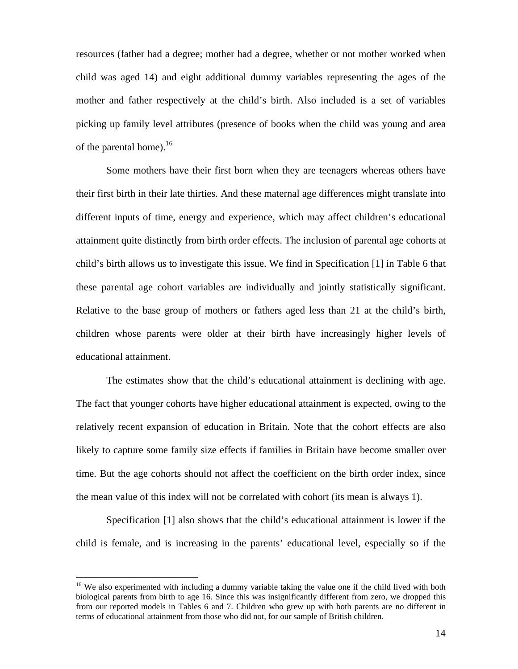resources (father had a degree; mother had a degree, whether or not mother worked when child was aged 14) and eight additional dummy variables representing the ages of the mother and father respectively at the child's birth. Also included is a set of variables picking up family level attributes (presence of books when the child was young and area of the parental home). $^{16}$ 

Some mothers have their first born when they are teenagers whereas others have their first birth in their late thirties. And these maternal age differences might translate into different inputs of time, energy and experience, which may affect children's educational attainment quite distinctly from birth order effects. The inclusion of parental age cohorts at child's birth allows us to investigate this issue. We find in Specification [1] in Table 6 that these parental age cohort variables are individually and jointly statistically significant. Relative to the base group of mothers or fathers aged less than 21 at the child's birth, children whose parents were older at their birth have increasingly higher levels of educational attainment.

The estimates show that the child's educational attainment is declining with age. The fact that younger cohorts have higher educational attainment is expected, owing to the relatively recent expansion of education in Britain. Note that the cohort effects are also likely to capture some family size effects if families in Britain have become smaller over time. But the age cohorts should not affect the coefficient on the birth order index, since the mean value of this index will not be correlated with cohort (its mean is always 1).

Specification [1] also shows that the child's educational attainment is lower if the child is female, and is increasing in the parents' educational level, especially so if the

 $\overline{a}$ 

<span id="page-16-0"></span><sup>&</sup>lt;sup>16</sup> We also experimented with including a dummy variable taking the value one if the child lived with both biological parents from birth to age 16. Since this was insignificantly different from zero, we dropped this from our reported models in Tables 6 and 7. Children who grew up with both parents are no different in terms of educational attainment from those who did not, for our sample of British children.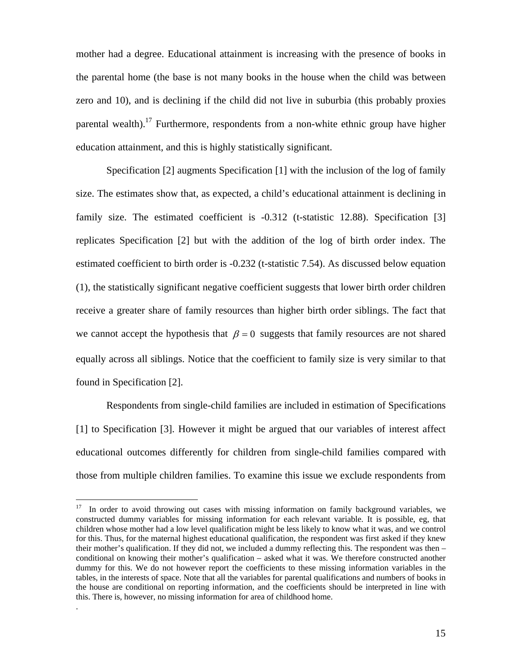mother had a degree. Educational attainment is increasing with the presence of books in the parental home (the base is not many books in the house when the child was between zero and 10), and is declining if the child did not live in suburbia (this probably proxies parental wealth).<sup>17</sup> Furthermore, respondents from a non-white ethnic group have higher education attainment, and this is highly statistically significant.

Specification [2] augments Specification [1] with the inclusion of the log of family size. The estimates show that, as expected, a child's educational attainment is declining in family size. The estimated coefficient is  $-0.312$  (t-statistic 12.88). Specification [3] replicates Specification [2] but with the addition of the log of birth order index. The estimated coefficient to birth order is -0.232 (t-statistic 7.54). As discussed below equation (1), the statistically significant negative coefficient suggests that lower birth order children receive a greater share of family resources than higher birth order siblings. The fact that we cannot accept the hypothesis that  $\beta = 0$  suggests that family resources are not shared equally across all siblings. Notice that the coefficient to family size is very similar to that found in Specification [2].

Respondents from single-child families are included in estimation of Specifications [1] to Specification [3]. However it might be argued that our variables of interest affect educational outcomes differently for children from single-child families compared with those from multiple children families. To examine this issue we exclude respondents from

 $\overline{a}$ 

<span id="page-17-0"></span><sup>&</sup>lt;sup>17</sup> In order to avoid throwing out cases with missing information on family background variables, we constructed dummy variables for missing information for each relevant variable. It is possible, eg, that children whose mother had a low level qualification might be less likely to know what it was, and we control for this. Thus, for the maternal highest educational qualification, the respondent was first asked if they knew their mother's qualification. If they did not, we included a dummy reflecting this. The respondent was then – conditional on knowing their mother's qualification – asked what it was. We therefore constructed another dummy for this. We do not however report the coefficients to these missing information variables in the tables, in the interests of space. Note that all the variables for parental qualifications and numbers of books in the house are conditional on reporting information, and the coefficients should be interpreted in line with this. There is, however, no missing information for area of childhood home.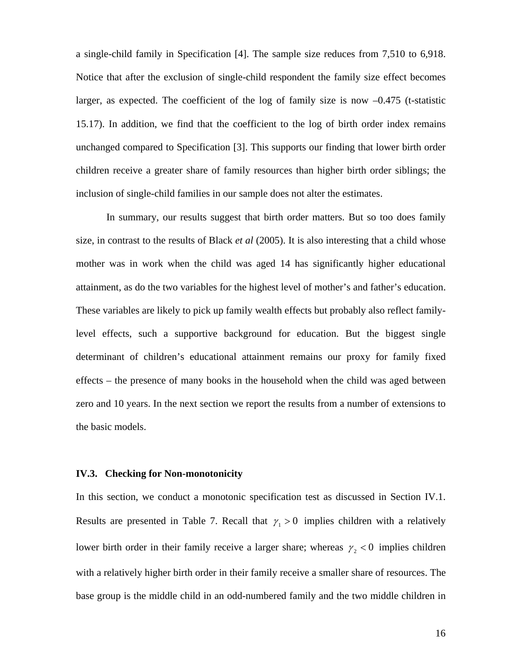a single-child family in Specification [4]. The sample size reduces from 7,510 to 6,918. Notice that after the exclusion of single-child respondent the family size effect becomes larger, as expected. The coefficient of the log of family size is now  $-0.475$  (t-statistic 15.17). In addition, we find that the coefficient to the log of birth order index remains unchanged compared to Specification [3]. This supports our finding that lower birth order children receive a greater share of family resources than higher birth order siblings; the inclusion of single-child families in our sample does not alter the estimates.

In summary, our results suggest that birth order matters. But so too does family size, in contrast to the results of Black *et al* (2005). It is also interesting that a child whose mother was in work when the child was aged 14 has significantly higher educational attainment, as do the two variables for the highest level of mother's and father's education. These variables are likely to pick up family wealth effects but probably also reflect familylevel effects, such a supportive background for education. But the biggest single determinant of children's educational attainment remains our proxy for family fixed effects – the presence of many books in the household when the child was aged between zero and 10 years. In the next section we report the results from a number of extensions to the basic models.

### **IV.3. Checking for Non-monotonicity**

In this section, we conduct a monotonic specification test as discussed in Section IV.1. Results are presented in Table 7. Recall that  $\gamma_1 > 0$  implies children with a relatively lower birth order in their family receive a larger share; whereas  $\gamma_2 < 0$  implies children with a relatively higher birth order in their family receive a smaller share of resources. The base group is the middle child in an odd-numbered family and the two middle children in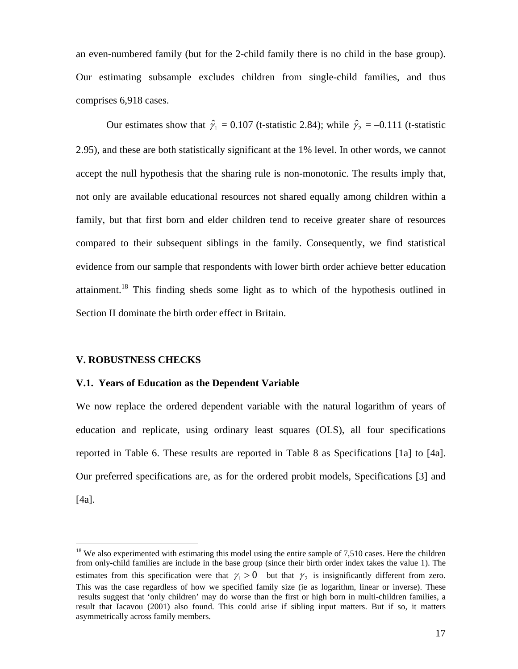an even-numbered family (but for the 2-child family there is no child in the base group). Our estimating subsample excludes children from single-child families, and thus comprises 6,918 cases.

Our estimates show that  $\hat{\gamma}_1 = 0.107$  (t-statistic 2.84); while  $\hat{\gamma}_2 = -0.111$  (t-statistic 2.95), and these are both statistically significant at the 1% level. In other words, we cannot accept the null hypothesis that the sharing rule is non-monotonic. The results imply that, not only are available educational resources not shared equally among children within a family, but that first born and elder children tend to receive greater share of resources compared to their subsequent siblings in the family. Consequently, we find statistical evidence from our sample that respondents with lower birth order achieve better education attainment.[18](#page-19-0) This finding sheds some light as to which of the hypothesis outlined in Section II dominate the birth order effect in Britain.

### **V. ROBUSTNESS CHECKS**

 $\overline{a}$ 

### **V.1. Years of Education as the Dependent Variable**

We now replace the ordered dependent variable with the natural logarithm of years of education and replicate, using ordinary least squares (OLS), all four specifications reported in Table 6. These results are reported in Table 8 as Specifications [1a] to [4a]. Our preferred specifications are, as for the ordered probit models, Specifications [3] and [4a].

<span id="page-19-0"></span> $18$  We also experimented with estimating this model using the entire sample of 7,510 cases. Here the children from only-child families are include in the base group (since their birth order index takes the value 1). The estimates from this specification were that  $\gamma_1 > 0$  but that  $\gamma_2$  is insignificantly different from zero. This was the case regardless of how we specified family size (ie as logarithm, linear or inverse). These results suggest that 'only children' may do worse than the first or high born in multi-children families, a result that Iacavou (2001) also found. This could arise if sibling input matters. But if so, it matters asymmetrically across family members.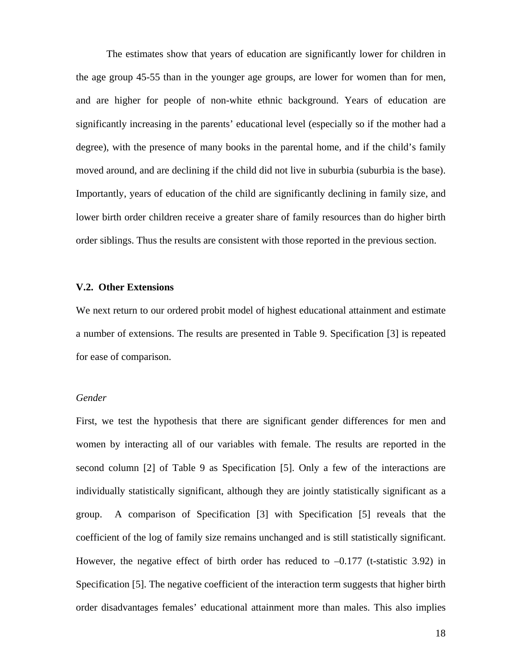The estimates show that years of education are significantly lower for children in the age group 45-55 than in the younger age groups, are lower for women than for men, and are higher for people of non-white ethnic background. Years of education are significantly increasing in the parents' educational level (especially so if the mother had a degree), with the presence of many books in the parental home, and if the child's family moved around, and are declining if the child did not live in suburbia (suburbia is the base). Importantly, years of education of the child are significantly declining in family size, and lower birth order children receive a greater share of family resources than do higher birth order siblings. Thus the results are consistent with those reported in the previous section.

### **V.2. Other Extensions**

We next return to our ordered probit model of highest educational attainment and estimate a number of extensions. The results are presented in Table 9. Specification [3] is repeated for ease of comparison.

### *Gender*

First, we test the hypothesis that there are significant gender differences for men and women by interacting all of our variables with female. The results are reported in the second column [2] of Table 9 as Specification [5]. Only a few of the interactions are individually statistically significant, although they are jointly statistically significant as a group. A comparison of Specification [3] with Specification [5] reveals that the coefficient of the log of family size remains unchanged and is still statistically significant. However, the negative effect of birth order has reduced to  $-0.177$  (t-statistic 3.92) in Specification [5]. The negative coefficient of the interaction term suggests that higher birth order disadvantages females' educational attainment more than males. This also implies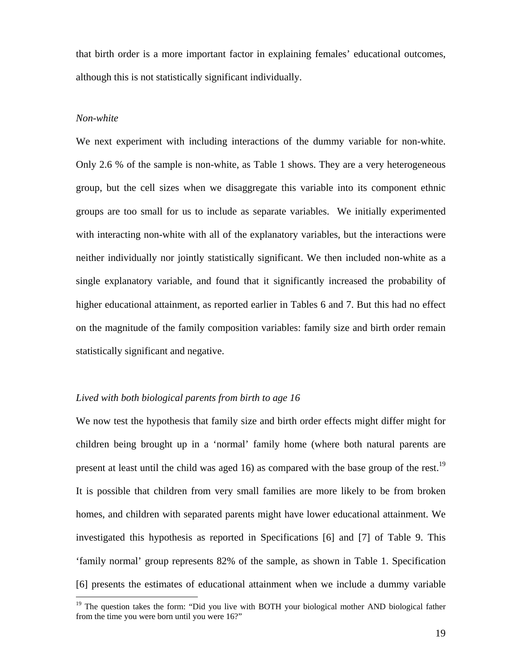that birth order is a more important factor in explaining females' educational outcomes, although this is not statistically significant individually.

### *Non-white*

 $\overline{a}$ 

We next experiment with including interactions of the dummy variable for non-white. Only 2.6 % of the sample is non-white, as Table 1 shows. They are a very heterogeneous group, but the cell sizes when we disaggregate this variable into its component ethnic groups are too small for us to include as separate variables. We initially experimented with interacting non-white with all of the explanatory variables, but the interactions were neither individually nor jointly statistically significant. We then included non-white as a single explanatory variable, and found that it significantly increased the probability of higher educational attainment, as reported earlier in Tables 6 and 7. But this had no effect on the magnitude of the family composition variables: family size and birth order remain statistically significant and negative.

### *Lived with both biological parents from birth to age 16*

We now test the hypothesis that family size and birth order effects might differ might for children being brought up in a 'normal' family home (where both natural parents are present at least until the child was aged 16) as compared with the base group of the rest.<sup>19</sup> It is possible that children from very small families are more likely to be from broken homes, and children with separated parents might have lower educational attainment. We investigated this hypothesis as reported in Specifications [6] and [7] of Table 9. This 'family normal' group represents 82% of the sample, as shown in Table 1. Specification [6] presents the estimates of educational attainment when we include a dummy variable

<span id="page-21-0"></span><sup>&</sup>lt;sup>19</sup> The question takes the form: "Did you live with BOTH your biological mother AND biological father from the time you were born until you were 16?"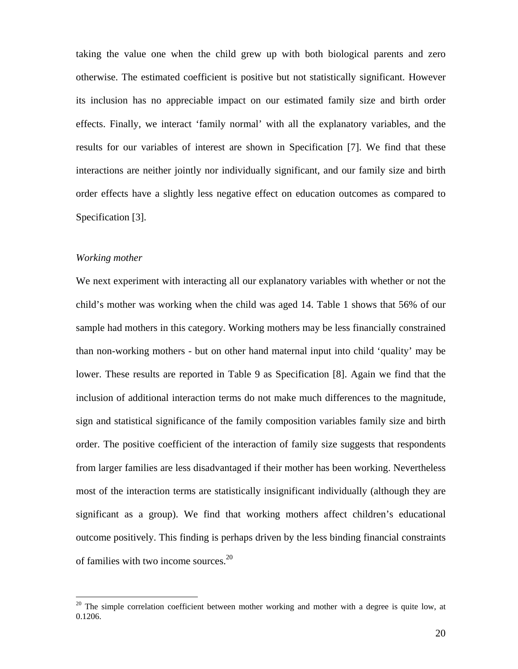taking the value one when the child grew up with both biological parents and zero otherwise. The estimated coefficient is positive but not statistically significant. However its inclusion has no appreciable impact on our estimated family size and birth order effects. Finally, we interact 'family normal' with all the explanatory variables, and the results for our variables of interest are shown in Specification [7]. We find that these interactions are neither jointly nor individually significant, and our family size and birth order effects have a slightly less negative effect on education outcomes as compared to Specification [3].

### *Working mother*

 $\overline{a}$ 

We next experiment with interacting all our explanatory variables with whether or not the child's mother was working when the child was aged 14. Table 1 shows that 56% of our sample had mothers in this category. Working mothers may be less financially constrained than non-working mothers - but on other hand maternal input into child 'quality' may be lower. These results are reported in Table 9 as Specification [8]. Again we find that the inclusion of additional interaction terms do not make much differences to the magnitude, sign and statistical significance of the family composition variables family size and birth order. The positive coefficient of the interaction of family size suggests that respondents from larger families are less disadvantaged if their mother has been working. Nevertheless most of the interaction terms are statistically insignificant individually (although they are significant as a group). We find that working mothers affect children's educational outcome positively. This finding is perhaps driven by the less binding financial constraints of families with two income sources. [20](#page-22-0) 

<span id="page-22-0"></span> $20$  The simple correlation coefficient between mother working and mother with a degree is quite low, at 0.1206.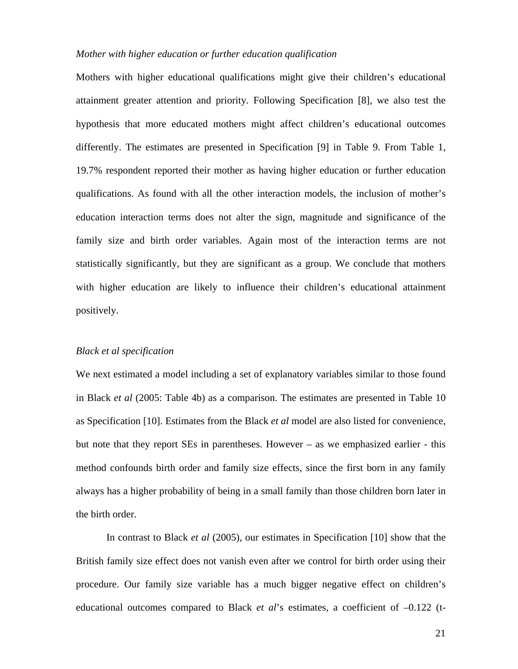### *Mother with higher education or further education qualification*

Mothers with higher educational qualifications might give their children's educational attainment greater attention and priority. Following Specification [8], we also test the hypothesis that more educated mothers might affect children's educational outcomes differently. The estimates are presented in Specification [9] in Table 9. From Table 1, 19.7% respondent reported their mother as having higher education or further education qualifications. As found with all the other interaction models, the inclusion of mother's education interaction terms does not alter the sign, magnitude and significance of the family size and birth order variables. Again most of the interaction terms are not statistically significantly, but they are significant as a group. We conclude that mothers with higher education are likely to influence their children's educational attainment positively.

### *Black et al specification*

We next estimated a model including a set of explanatory variables similar to those found in Black *et al* (2005: Table 4b) as a comparison. The estimates are presented in Table 10 as Specification [10]. Estimates from the Black *et al* model are also listed for convenience, but note that they report SEs in parentheses. However – as we emphasized earlier - this method confounds birth order and family size effects, since the first born in any family always has a higher probability of being in a small family than those children born later in the birth order.

In contrast to Black *et al* (2005), our estimates in Specification [10] show that the British family size effect does not vanish even after we control for birth order using their procedure. Our family size variable has a much bigger negative effect on children's educational outcomes compared to Black *et al*'s estimates, a coefficient of –0.122 (t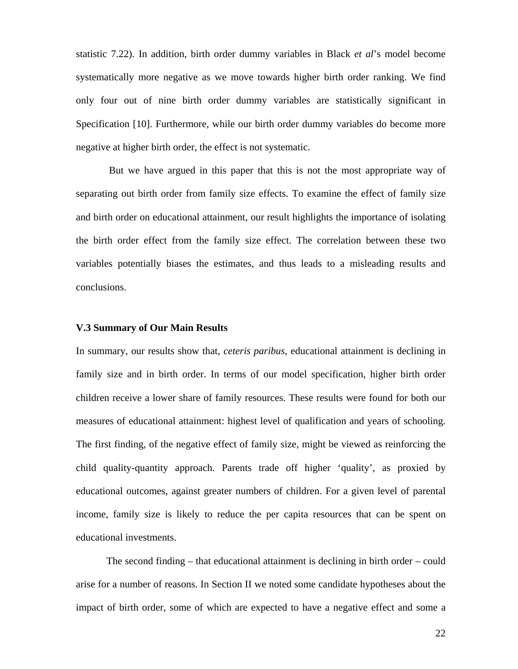statistic 7.22). In addition, birth order dummy variables in Black *et al*'s model become systematically more negative as we move towards higher birth order ranking. We find only four out of nine birth order dummy variables are statistically significant in Specification [10]. Furthermore, while our birth order dummy variables do become more negative at higher birth order, the effect is not systematic.

But we have argued in this paper that this is not the most appropriate way of separating out birth order from family size effects. To examine the effect of family size and birth order on educational attainment, our result highlights the importance of isolating the birth order effect from the family size effect. The correlation between these two variables potentially biases the estimates, and thus leads to a misleading results and conclusions.

### **V.3 Summary of Our Main Results**

In summary, our results show that, *ceteris paribus*, educational attainment is declining in family size and in birth order. In terms of our model specification, higher birth order children receive a lower share of family resources. These results were found for both our measures of educational attainment: highest level of qualification and years of schooling. The first finding, of the negative effect of family size, might be viewed as reinforcing the child quality-quantity approach. Parents trade off higher 'quality', as proxied by educational outcomes, against greater numbers of children. For a given level of parental income, family size is likely to reduce the per capita resources that can be spent on educational investments.

The second finding – that educational attainment is declining in birth order – could arise for a number of reasons. In Section II we noted some candidate hypotheses about the impact of birth order, some of which are expected to have a negative effect and some a

22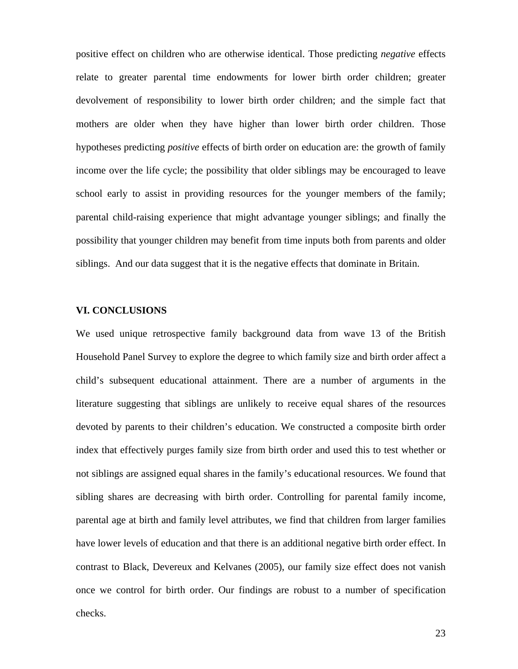positive effect on children who are otherwise identical. Those predicting *negative* effects relate to greater parental time endowments for lower birth order children; greater devolvement of responsibility to lower birth order children; and the simple fact that mothers are older when they have higher than lower birth order children. Those hypotheses predicting *positive* effects of birth order on education are: the growth of family income over the life cycle; the possibility that older siblings may be encouraged to leave school early to assist in providing resources for the younger members of the family; parental child-raising experience that might advantage younger siblings; and finally the possibility that younger children may benefit from time inputs both from parents and older siblings. And our data suggest that it is the negative effects that dominate in Britain.

### **VI. CONCLUSIONS**

We used unique retrospective family background data from wave 13 of the British Household Panel Survey to explore the degree to which family size and birth order affect a child's subsequent educational attainment. There are a number of arguments in the literature suggesting that siblings are unlikely to receive equal shares of the resources devoted by parents to their children's education. We constructed a composite birth order index that effectively purges family size from birth order and used this to test whether or not siblings are assigned equal shares in the family's educational resources. We found that sibling shares are decreasing with birth order. Controlling for parental family income, parental age at birth and family level attributes, we find that children from larger families have lower levels of education and that there is an additional negative birth order effect. In contrast to Black, Devereux and Kelvanes (2005), our family size effect does not vanish once we control for birth order. Our findings are robust to a number of specification checks.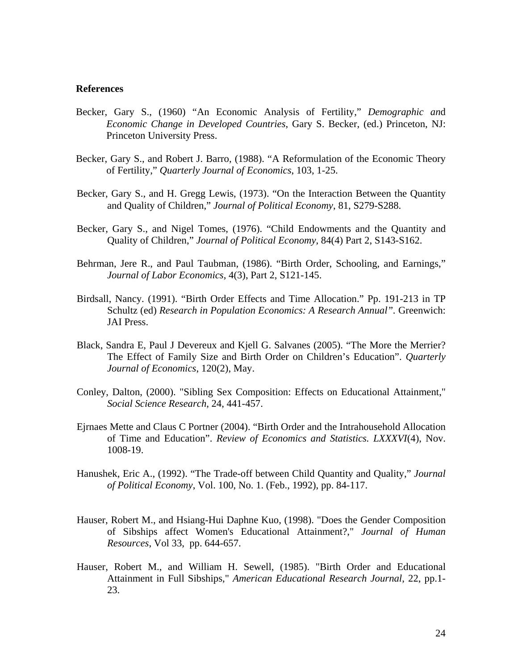### **References**

- Becker, Gary S., (1960) "An Economic Analysis of Fertility," *Demographic an*d *Economic Change in Developed Countries*, Gary S. Becker, (ed.) Princeton, NJ: Princeton University Press.
- Becker, Gary S., and Robert J. Barro, (1988). "A Reformulation of the Economic Theory of Fertility," *Quarterly Journal of Economics*, 103, 1-25.
- Becker, Gary S., and H. Gregg Lewis, (1973). "On the Interaction Between the Quantity and Quality of Children," *Journal of Political Economy*, 81, S279-S288.
- Becker, Gary S., and Nigel Tomes, (1976). "Child Endowments and the Quantity and Quality of Children," *Journal of Political Economy*, 84(4) Part 2, S143-S162.
- Behrman, Jere R., and Paul Taubman, (1986). "Birth Order, Schooling, and Earnings," *Journal of Labor Economics*, 4(3), Part 2, S121-145.
- Birdsall, Nancy. (1991). "Birth Order Effects and Time Allocation." Pp. 191-213 in TP Schultz (ed) *Research in Population Economics: A Research Annual".* Greenwich: JAI Press.
- Black, Sandra E, Paul J Devereux and Kjell G. Salvanes (2005). "The More the Merrier? The Effect of Family Size and Birth Order on Children's Education". *Quarterly Journal of Economics*, 120(2), May.
- Conley, Dalton, (2000). "Sibling Sex Composition: Effects on Educational Attainment," *Social Science Research*, 24, 441-457.
- Ejrnaes Mette and Claus C Portner (2004). "Birth Order and the Intrahousehold Allocation of Time and Education". *Review of Economics and Statistics. LXXXVI*(4), Nov. 1008-19.
- Hanushek, Eric A., (1992). "The Trade-off between Child Quantity and Quality," *Journal of Political Economy*, Vol. 100, No. 1. (Feb., 1992), pp. 84-117.
- Hauser, Robert M., and Hsiang-Hui Daphne Kuo, (1998). "Does the Gender Composition of Sibships affect Women's Educational Attainment?," *Journal of Human Resources*, Vol 33, pp. 644-657.
- Hauser, Robert M., and William H. Sewell, (1985). "Birth Order and Educational Attainment in Full Sibships," *American Educational Research Journal*, 22, pp.1- 23.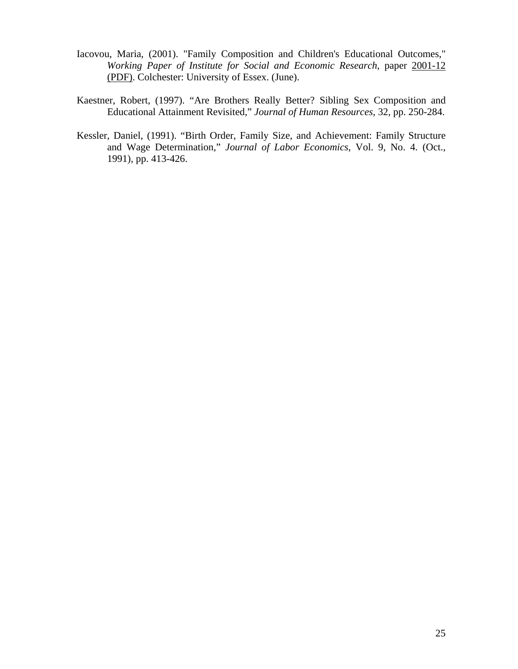- Iacovou, Maria, (2001). "Family Composition and Children's Educational Outcomes," *Working Paper of Institute for Social and Economic Research*, paper [2001-12](http://www.iser.essex.ac.uk/pubs/workpaps/pdf/2001-12.pdf)  [\(PDF\).](http://www.iser.essex.ac.uk/pubs/workpaps/pdf/2001-12.pdf) Colchester: University of Essex. (June).
- Kaestner, Robert, (1997). "Are Brothers Really Better? Sibling Sex Composition and Educational Attainment Revisited," *Journal of Human Resources*, 32, pp. 250-284.
- Kessler, Daniel, (1991). "Birth Order, Family Size, and Achievement: Family Structure and Wage Determination," *Journal of Labor Economics*, Vol. 9, No. 4. (Oct., 1991), pp. 413-426.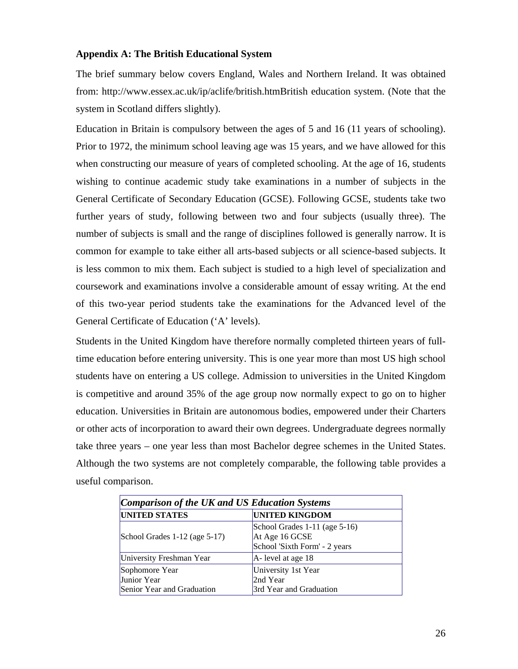### **Appendix A: The British Educational System**

The brief summary below covers England, Wales and Northern Ireland. It was obtained from: http://www.essex.ac.uk/ip/aclife/british.htmBritish education system. (Note that the system in Scotland differs slightly).

Education in Britain is compulsory between the ages of 5 and 16 (11 years of schooling). Prior to 1972, the minimum school leaving age was 15 years, and we have allowed for this when constructing our measure of years of completed schooling. At the age of 16, students wishing to continue academic study take examinations in a number of subjects in the General Certificate of Secondary Education (GCSE). Following GCSE, students take two further years of study, following between two and four subjects (usually three). The number of subjects is small and the range of disciplines followed is generally narrow. It is common for example to take either all arts-based subjects or all science-based subjects. It is less common to mix them. Each subject is studied to a high level of specialization and coursework and examinations involve a considerable amount of essay writing. At the end of this two-year period students take the examinations for the Advanced level of the General Certificate of Education ('A' levels).

Students in the United Kingdom have therefore normally completed thirteen years of fulltime education before entering university. This is one year more than most US high school students have on entering a US college. Admission to universities in the United Kingdom is competitive and around 35% of the age group now normally expect to go on to higher education. Universities in Britain are autonomous bodies, empowered under their Charters or other acts of incorporation to award their own degrees. Undergraduate degrees normally take three years – one year less than most Bachelor degree schemes in the United States. Although the two systems are not completely comparable, the following table provides a useful comparison.

| Comparison of the UK and US Education Systems               |                                                                                  |  |  |  |  |  |
|-------------------------------------------------------------|----------------------------------------------------------------------------------|--|--|--|--|--|
| <b>UNITED STATES</b>                                        | <b>UNITED KINGDOM</b>                                                            |  |  |  |  |  |
| School Grades $1-12$ (age $5-17$ )                          | School Grades 1-11 (age 5-16)<br>At Age 16 GCSE<br>School 'Sixth Form' - 2 years |  |  |  |  |  |
| University Freshman Year                                    | $A$ - level at age 18                                                            |  |  |  |  |  |
| Sophomore Year<br>Junior Year<br>Senior Year and Graduation | University 1st Year<br>2nd Year<br>3rd Year and Graduation                       |  |  |  |  |  |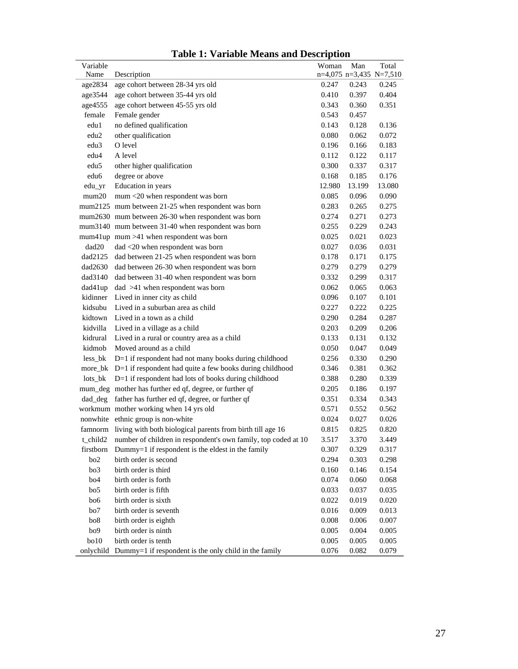| Variable<br>Name   |                                                                    | Woman     | Man    | Total                                |
|--------------------|--------------------------------------------------------------------|-----------|--------|--------------------------------------|
|                    | Description<br>age cohort between 28-34 yrs old                    | 0.247     | 0.243  | $n=4,075$ $n=3,435$ N=7,510<br>0.245 |
| age2834<br>age3544 | age cohort between 35-44 yrs old                                   | 0.410     | 0.397  | 0.404                                |
|                    | age cohort between 45-55 yrs old                                   | 0.343     | 0.360  | 0.351                                |
| age4555<br>female  | Female gender                                                      | 0.543     | 0.457  |                                      |
| edu1               | no defined qualification                                           | 0.143     | 0.128  | 0.136                                |
| edu <sub>2</sub>   | other qualification                                                | 0.080     | 0.062  | 0.072                                |
| edu <sub>3</sub>   | O level                                                            | 0.196     | 0.166  | 0.183                                |
| edu4               | A level                                                            | 0.112     | 0.122  | 0.117                                |
|                    |                                                                    |           |        |                                      |
| edu <sub>5</sub>   | other higher qualification                                         | 0.300     | 0.337  | 0.317                                |
| edu6               | degree or above                                                    | 0.168     | 0.185  | 0.176                                |
| edu_yr             | Education in years                                                 | 12.980    | 13.199 | 13.080                               |
| mum20              | mum <20 when respondent was born                                   | 0.085     | 0.096  | 0.090                                |
|                    | mum2125 mum between 21-25 when respondent was born                 | 0.283     | 0.265  | 0.275                                |
|                    | mum2630 mum between 26-30 when respondent was born                 | 0.274     | 0.271  | 0.273                                |
|                    | mum3140 mum between 31-40 when respondent was born                 | 0.255     | 0.229  | 0.243                                |
|                    | mum $41$ up mum $>41$ when respondent was born                     | 0.025     | 0.021  | 0.023                                |
| dad20              | dad <20 when respondent was born                                   | 0.027     | 0.036  | 0.031                                |
| dad2125            | dad between 21-25 when respondent was born                         | 0.178     | 0.171  | 0.175                                |
| dad2630            | dad between 26-30 when respondent was born                         | 0.279     | 0.279  | 0.279                                |
| dad3140            | dad between 31-40 when respondent was born                         | 0.332     | 0.299  | 0.317                                |
| dad41up            | $dad$ >41 when respondent was born                                 | 0.062     | 0.065  | 0.063                                |
| kidinner           | Lived in inner city as child                                       | 0.096     | 0.107  | 0.101                                |
| kidsubu            | Lived in a suburban area as child                                  | 0.227     | 0.222  | 0.225                                |
| kidtown            | Lived in a town as a child                                         | 0.290     | 0.284  | 0.287                                |
| kidvilla           | Lived in a village as a child                                      | 0.203     | 0.209  | 0.206                                |
| kidrural           | Lived in a rural or country area as a child                        | 0.133     | 0.131  | 0.132                                |
| kidmob             | Moved around as a child                                            | 0.050     | 0.047  | 0.049                                |
| less_bk            | $D=1$ if respondent had not many books during childhood            | 0.256     | 0.330  | 0.290                                |
| more_bk            | D=1 if respondent had quite a few books during childhood           | 0.346     | 0.381  | 0.362                                |
| lots_bk            | D=1 if respondent had lots of books during childhood               | 0.388     | 0.280  | 0.339                                |
|                    | mum_deg mother has further ed qf, degree, or further qf            | 0.205     | 0.186  | 0.197                                |
| dad deg            | father has further ed qf, degree, or further qf                    | 0.351     | 0.334  | 0.343                                |
|                    | workmum mother working when 14 yrs old                             | 0.571     | 0.552  | 0.562                                |
|                    | nonwhite ethnic group is non-white                                 | 0.024     | 0.027  | 0.026                                |
|                    | famnorm living with both biological parents from birth till age 16 | 0.815     | 0.825  | 0.820                                |
| t_child2           | number of children in respondent's own family, top coded at 10     | 3.517     | 3.370  | 3.449                                |
| firstborn          | Dummy=1 if respondent is the eldest in the family                  | 0.307     | 0.329  | 0.317                                |
| bo <sub>2</sub>    | birth order is second                                              | 0.294     | 0.303  | 0.298                                |
| bo3                | birth order is third                                               | 0.160     | 0.146  | 0.154                                |
| bo <sub>4</sub>    | birth order is forth                                               | 0.074     | 0.060  | 0.068                                |
| bo5                | birth order is fifth                                               | 0.033     | 0.037  | 0.035                                |
| bo <sub>6</sub>    | birth order is sixth                                               | 0.022     | 0.019  | 0.020                                |
| bo7                | birth order is seventh                                             | 0.016     | 0.009  | 0.013                                |
| bo8                | birth order is eighth                                              | $0.008\,$ | 0.006  | 0.007                                |
| bo9                | birth order is ninth                                               | 0.005     | 0.004  | 0.005                                |
| bo10               | birth order is tenth                                               | 0.005     | 0.005  | 0.005                                |
| onlychild          | Dummy=1 if respondent is the only child in the family              | 0.076     | 0.082  | 0.079                                |

| <b>Table 1: Variable Means and Description</b> |  |
|------------------------------------------------|--|
|------------------------------------------------|--|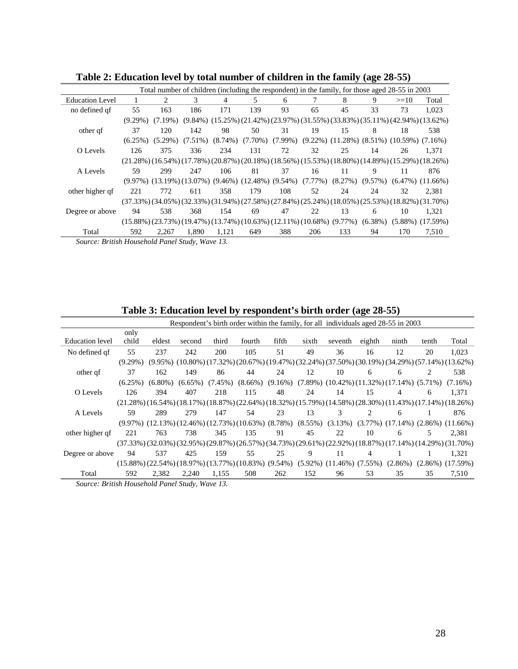|                                               |            |            |            |            | Total number of children (including the respondent) in the family, for those aged 28-55 in 2003 |     |            |                                                                     |            |        |                                                                                                                                     |
|-----------------------------------------------|------------|------------|------------|------------|-------------------------------------------------------------------------------------------------|-----|------------|---------------------------------------------------------------------|------------|--------|-------------------------------------------------------------------------------------------------------------------------------------|
| <b>Education Level</b>                        |            | 2          | 3          | 4          | 5                                                                                               | 6   |            | 8                                                                   | 9          | $>=10$ | Total                                                                                                                               |
| no defined qf                                 | 55         | 163        | 186        | 171        | 139                                                                                             | 93  | 65         | 45                                                                  | 33         | 73     | 1.023                                                                                                                               |
|                                               | $(9.29\%)$ | $(7.19\%)$ |            |            |                                                                                                 |     |            |                                                                     |            |        | $(9.84\%)$ $(15.25\%)$ $(21.42\%)$ $(23.97\%)$ $(31.55\%)$ $(33.83\%)$ $(35.11\%)$ $(42.94\%)$ $(13.62\%)$                          |
| other qf                                      | 37         | 120        | 142        | 98         | 50                                                                                              | 31  | 19         | 15                                                                  | 8          | 18     | 538                                                                                                                                 |
|                                               | $(6.25\%)$ | $(5.29\%)$ | $(7.51\%)$ | $(8.74\%)$ | $(7.70\%)$                                                                                      |     |            | $(7.99\%)$ $(9.22\%)$ $(11.28\%)$ $(8.51\%)$ $(10.59\%)$ $(7.16\%)$ |            |        |                                                                                                                                     |
| O Levels                                      | 126        | 375        | 336        | 234        | 131                                                                                             | 72  | 32         | 25                                                                  | 14         | 26     | 1.371                                                                                                                               |
|                                               |            |            |            |            |                                                                                                 |     |            |                                                                     |            |        | $(21.28\%)$ $(16.54\%)$ $(17.78\%)$ $(20.87\%)$ $(20.18\%)$ $(18.56\%)$ $(15.53\%)$ $(18.80\%)$ $(14.89\%)$ $(15.29\%)$ $(18.26\%)$ |
| A Levels                                      | 59         | 299        | 247        | 106        | 81                                                                                              | 37  | 16         | 11                                                                  | 9          | 11     | 876                                                                                                                                 |
|                                               |            |            |            |            | $(9.97\%)$ $(13.19\%)$ $(13.07\%)$ $(9.46\%)$ $(12.48\%)$ $(9.54\%)$                            |     | $(7.77\%)$ | (8.27%)                                                             | $(9.57\%)$ |        | $(6.47\%)$ $(11.66\%)$                                                                                                              |
| other higher qf                               | 221        | 772        | 611        | 358        | 179                                                                                             | 108 | 52         | 24                                                                  | 24         | 32     | 2.381                                                                                                                               |
|                                               |            |            |            |            |                                                                                                 |     |            |                                                                     |            |        | $(37.33\%)$ $(34.05\%)$ $(32.33\%)$ $(31.94\%)$ $(27.58\%)$ $(27.84\%)$ $(25.24\%)$ $(18.05\%)$ $(25.53\%)$ $(18.82\%)$ $(31.70\%)$ |
| Degree or above                               | 94         | 538        | 368        | 154        | 69                                                                                              | 47  | 22         | 13                                                                  | 6          | 10     | 1.321                                                                                                                               |
|                                               |            |            |            |            | $(15.88\%)$ $(23.73\%)$ $(19.47\%)$ $(13.74\%)$ $(10.63\%)$ $(12.11\%)$ $(10.68\%)$ $(9.77\%)$  |     |            |                                                                     | $(6.38\%)$ |        | $(5.88\%)$ $(17.59\%)$                                                                                                              |
| Total                                         | 592        | 2.267      | 1.890      | 1.121      | 649                                                                                             | 388 | 206        | 133                                                                 | 94         | 170    | 7,510                                                                                                                               |
| Course: British Household Davel Study Ways 13 |            |            |            |            |                                                                                                 |     |            |                                                                     |            |        |                                                                                                                                     |

**Table 2: Education level by total number of children in the family (age 28-55)** 

*Source: British Household Panel Study, Wave 13.*

| Table 5: Equeation level by respondent's birth order (age 28-55) |            |            |                                                                        |            |            |            |       |                                   |                               |                                                                                                                                                 |       |                      |
|------------------------------------------------------------------|------------|------------|------------------------------------------------------------------------|------------|------------|------------|-------|-----------------------------------|-------------------------------|-------------------------------------------------------------------------------------------------------------------------------------------------|-------|----------------------|
|                                                                  |            |            |                                                                        |            |            |            |       |                                   |                               | Respondent's birth order within the family, for all individuals aged 28-55 in 2003                                                              |       |                      |
|                                                                  | only       |            |                                                                        |            |            |            |       |                                   |                               |                                                                                                                                                 |       |                      |
| <b>Education</b> level                                           | child      | eldest     | second                                                                 | third      | fourth     | fifth      | sixth | seventh                           | eighth                        | ninth                                                                                                                                           | tenth | Total                |
| No defined qf                                                    | 55         | 237        | 242                                                                    | 200        | 105        | 51         | 49    | 36                                | 16                            | 12                                                                                                                                              | 20    | 1,023                |
|                                                                  | $(9.29\%)$ |            |                                                                        |            |            |            |       |                                   |                               | $(9.95\%)$ $(10.80\%)$ $(17.32\%)$ $(20.67\%)$ $(19.47\%)$ $(32.24\%)$ $(37.50\%)$ $(30.19\%)$ $(34.29\%)$ $(57.14\%)$ $(13.62\%)$              |       |                      |
| other qf                                                         | 37         | 162        | 149                                                                    | 86         | 44         | 24         | 12    | 10                                | 6                             | 6                                                                                                                                               | 2     | 538                  |
|                                                                  | $(6.25\%)$ | $(6.80\%)$ | $(6.65\%)$                                                             | $(7.45\%)$ | $(8.66\%)$ | $(9.16\%)$ |       |                                   |                               | $(7.89\%)$ $(10.42\%)$ $(11.32\%)$ $(17.14\%)$ $(5.71\%)$                                                                                       |       | $(7.16\%)$           |
| O Levels                                                         | 126        | 394        | 407                                                                    | 218        | 115        | 48         | 24    | 14                                | 15                            | 4                                                                                                                                               | 6     | 1,371                |
|                                                                  |            |            |                                                                        |            |            |            |       |                                   |                               | $(21.28\%)$ $(16.54\%)$ $(18.17\%)$ $(18.87\%)$ $(22.64\%)$ $(18.32\%)$ $(15.79\%)$ $(14.58\%)$ $(28.30\%)$ $(11.43\%)$ $(17.14\%)$ $(18.26\%)$ |       |                      |
| A Levels                                                         | 59         | 289        | 279                                                                    | 147        | 54         | 23         | 13    | 3                                 | $\mathfrak{D}_{\mathfrak{p}}$ | 6                                                                                                                                               |       | 876                  |
|                                                                  |            |            |                                                                        |            |            |            |       |                                   |                               | $(9.97\%)$ $(12.13\%)$ $(12.46\%)$ $(12.73\%)$ $(10.63\%)$ $(8.78\%)$ $(8.55\%)$ $(3.13\%)$ $(3.77\%)$ $(17.14\%)$ $(2.86\%)$ $(11.66\%)$       |       |                      |
| other higher qf                                                  | 221        | 763        | 738                                                                    | 345        | 135        | 91         | 45    | 22                                | 10                            | 6                                                                                                                                               | 5     | 2,381                |
|                                                                  |            |            |                                                                        |            |            |            |       |                                   |                               | $(37.33\%)$ $(32.03\%)$ $(32.95\%)$ $(29.87\%)$ $(26.57\%)$ $(34.73\%)$ $(29.61\%)$ $(22.92\%)$ $(18.87\%)$ $(17.14\%)$ $(14.29\%)$ $(31.70\%)$ |       |                      |
| Degree or above                                                  | 94         | 537        | 425                                                                    | 159        | 55         | 25         | 9     | 11                                | 4                             |                                                                                                                                                 |       | 1,321                |
|                                                                  |            |            | $(15.88\%)$ $(22.54\%)$ $(18.97\%)$ $(13.77\%)$ $(10.83\%)$ $(9.54\%)$ |            |            |            |       | $(5.92\%)$ $(11.46\%)$ $(7.55\%)$ |                               | $(2.86\%)$                                                                                                                                      |       | $(2.86\%) (17.59\%)$ |
| Total                                                            | 592        | 2,382      | 2,240                                                                  | 1,155      | 508        | 262        | 152   | 96                                | 53                            | 35                                                                                                                                              | 35    | 7,510                |
| Source: British Household Panel Study, Wave 13.                  |            |            |                                                                        |            |            |            |       |                                   |                               |                                                                                                                                                 |       |                      |

**Table 3: Education level by respondent's birth order (age 28-55)**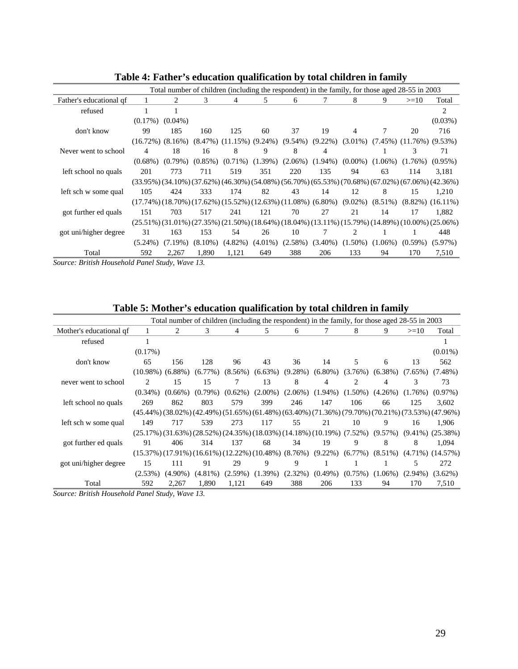| caacaan qaanncaanon oy total chiith en in faniny |                        |            |            |                                   |            |            |            |            |                     |                                                                                                 |                                                                                                                                     |
|--------------------------------------------------|------------------------|------------|------------|-----------------------------------|------------|------------|------------|------------|---------------------|-------------------------------------------------------------------------------------------------|-------------------------------------------------------------------------------------------------------------------------------------|
|                                                  |                        |            |            |                                   |            |            |            |            |                     | Total number of children (including the respondent) in the family, for those aged 28-55 in 2003 |                                                                                                                                     |
| Father's educational qf                          |                        | 2          | 3          | 4                                 | 5.         | 6          | 7          | 8          | 9                   | $>=10$                                                                                          | Total                                                                                                                               |
| refused                                          |                        |            |            |                                   |            |            |            |            |                     |                                                                                                 | 2                                                                                                                                   |
|                                                  | $(0.17\%)$             | $(0.04\%)$ |            |                                   |            |            |            |            |                     |                                                                                                 | $(0.03\%)$                                                                                                                          |
| don't know                                       | 99                     | 185        | 160        | 125                               | 60         | 37         | 19         | 4          |                     | 20                                                                                              | 716                                                                                                                                 |
|                                                  | $(16.72\%)$ $(8.16\%)$ |            |            | $(8.47\%)$ $(11.15\%)$ $(9.24\%)$ |            | $(9.54\%)$ | $(9.22\%)$ |            |                     | $(3.01\%)$ $(7.45\%)$ $(11.76\%)$ $(9.53\%)$                                                    |                                                                                                                                     |
| Never went to school                             | 4                      | 18         | 16         | 8                                 | 9          | 8          | 4          |            |                     | 3                                                                                               | 71                                                                                                                                  |
|                                                  | $(0.68\%)$             | $(0.79\%)$ | $(0.85\%)$ | $(0.71\%)$                        | $(1.39\%)$ | $(2.06\%)$ | $(1.94\%)$ |            | $(0.00\%) (1.06\%)$ | $(1.76\%)$                                                                                      | $(0.95\%)$                                                                                                                          |
| left school no quals                             | 201                    | 773        | 711        | 519                               | 351        | 220        | 135        | 94         | 63                  | 114                                                                                             | 3,181                                                                                                                               |
|                                                  |                        |            |            |                                   |            |            |            |            |                     |                                                                                                 | $(33.95\%)$ $(34.10\%)$ $(37.62\%)$ $(46.30\%)$ $(54.08\%)$ $(56.70\%)$ $(65.53\%)$ $(70.68\%)$ $(67.02\%)$ $(67.06\%)$ $(42.36\%)$ |
| left sch w some qual                             | 105                    | 424        | 333        | 174                               | 82         | 43         | 14         | 12         | 8                   | 15                                                                                              | 1.210                                                                                                                               |
|                                                  |                        |            |            |                                   |            |            |            |            |                     |                                                                                                 | $(17.74\%)$ $(18.70\%)$ $(17.62\%)$ $(15.52\%)$ $(12.63\%)$ $(11.08\%)$ $(6.80\%)$ $(9.02\%)$ $(8.51\%)$ $(8.82\%)$ $(16.11\%)$     |
| got further ed quals                             | 151                    | 703        | 517        | 241                               | 121        | 70         | 27         | 21         | 14                  | 17                                                                                              | 1.882                                                                                                                               |
|                                                  |                        |            |            |                                   |            |            |            |            |                     |                                                                                                 | $(25.51\%)$ $(31.01\%)$ $(27.35\%)$ $(21.50\%)$ $(18.64\%)$ $(18.04\%)$ $(13.11\%)$ $(15.79\%)$ $(14.89\%)$ $(10.00\%)$ $(25.06\%)$ |
| got uni/higher degree                            | 31                     | 163        | 153        | 54                                | 26         | 10         | 7          | 2          |                     | 1                                                                                               | 448                                                                                                                                 |
|                                                  | $(5.24\%)$             | $(7.19\%)$ | $(8.10\%)$ | $(4.82\%)$                        | $(4.01\%)$ | $(2.58\%)$ | $(3.40\%)$ | $(1.50\%)$ | $(1.06\%)$          | $(0.59\%)$                                                                                      | $(5.97\%)$                                                                                                                          |
| Total                                            | 592                    | 2.267      | 1.890      | 1,121                             | 649        | 388        | 206        | 133        | 94                  | 170                                                                                             | 7,510                                                                                                                               |
| Source: British Household Panel Study. Wave 13.  |                        |            |            |                                   |            |            |            |            |                     |                                                                                                 |                                                                                                                                     |

**Table 4: Father's education qualification by total children in family**

*Source: British Household Panel Study, Wave 13.*

| Table 5: Mother's education qualification by total children in family |  |  |  |
|-----------------------------------------------------------------------|--|--|--|
|                                                                       |  |  |  |

|                         |                        |            |            |            |                                                                        |            | Total number of children (including the respondent) in the family, for those aged 28-55 in 2003 |                |            |            |                                                                                                                                     |
|-------------------------|------------------------|------------|------------|------------|------------------------------------------------------------------------|------------|-------------------------------------------------------------------------------------------------|----------------|------------|------------|-------------------------------------------------------------------------------------------------------------------------------------|
| Mother's educational qf |                        | 2          | 3          | 4          | 5.                                                                     | 6          | 7                                                                                               | 8              | 9          | $>=10$     | Total                                                                                                                               |
| refused                 |                        |            |            |            |                                                                        |            |                                                                                                 |                |            |            |                                                                                                                                     |
|                         | $(0.17\%)$             |            |            |            |                                                                        |            |                                                                                                 |                |            |            | $(0.01\%)$                                                                                                                          |
| don't know              | 65                     | 156        | 128        | 96         | 43                                                                     | 36         | 14                                                                                              | 5              | 6          | 13         | 562                                                                                                                                 |
|                         | $(10.98\%)$ $(6.88\%)$ |            | $(6.77\%)$ | $(8.56\%)$ | $(6.63\%)$                                                             | $(9.28\%)$ | $(6.80\%)$                                                                                      | (3.76%)        | $(6.38\%)$ | $(7.65\%)$ | $(7.48\%)$                                                                                                                          |
| never went to school    | 2                      | 15         | 15         | 7          | 13                                                                     | 8          | 4                                                                                               | $\overline{c}$ | 4          | 3          | 73                                                                                                                                  |
|                         | $(0.34\%)$             | $(0.66\%)$ | $(0.79\%)$ | $(0.62\%)$ | $(2.00\%)$                                                             | $(2.06\%)$ | $(1.94\%)$                                                                                      | $(1.50\%)$     | $(4.26\%)$ | $(1.76\%)$ | $(0.97\%)$                                                                                                                          |
| left school no quals    | 269                    | 862        | 803        | 579        | 399                                                                    | 246        | 147                                                                                             | 106            | 66         | 125        | 3.602                                                                                                                               |
|                         |                        |            |            |            |                                                                        |            |                                                                                                 |                |            |            | $(45.44\%)$ $(38.02\%)$ $(42.49\%)$ $(51.65\%)$ $(61.48\%)$ $(63.40\%)$ $(71.36\%)$ $(79.70\%)$ $(70.21\%)$ $(73.53\%)$ $(47.96\%)$ |
| left sch w some qual    | 149                    | 717        | 539        | 273        | 117                                                                    | 55         | 21                                                                                              | 10             | 9          | 16         | 1.906                                                                                                                               |
|                         |                        |            |            |            |                                                                        |            | $(25.17\%)$ $(31.63\%)$ $(28.52\%)$ $(24.35\%)$ $(18.03\%)$ $(14.18\%)$ $(10.19\%)$ $(7.52\%)$  |                | $(9.57\%)$ |            | $(9.41\%) (25.38\%)$                                                                                                                |
| got further ed quals    | 91                     | 406        | 314        | 137        | 68                                                                     | 34         | 19                                                                                              | 9              | 8          | 8          | 1.094                                                                                                                               |
|                         |                        |            |            |            | $(15.37\%)$ $(17.91\%)$ $(16.61\%)$ $(12.22\%)$ $(10.48\%)$ $(8.76\%)$ |            | $(9.22\%)$                                                                                      | $(6.77\%)$     | $(8.51\%)$ |            | $(4.71\%)$ $(14.57\%)$                                                                                                              |
| got uni/higher degree   | 15                     | 111        | 91         | 29         | 9                                                                      | 9          |                                                                                                 |                |            | 5          | 272                                                                                                                                 |
|                         | (2.53%)                | $(4.90\%)$ | $(4.81\%)$ | $(2.59\%)$ | $(1.39\%)$                                                             | $(2.32\%)$ | $(0.49\%)$                                                                                      | $(0.75\%)$     | $(1.06\%)$ | $(2.94\%)$ | $(3.62\%)$                                                                                                                          |
| Total                   | 592                    | 2,267      | 1.890      | 1,121      | 649                                                                    | 388        | 206                                                                                             | 133            | 94         | 170        | 7,510                                                                                                                               |

*Source: British Household Panel Study, Wave 13.*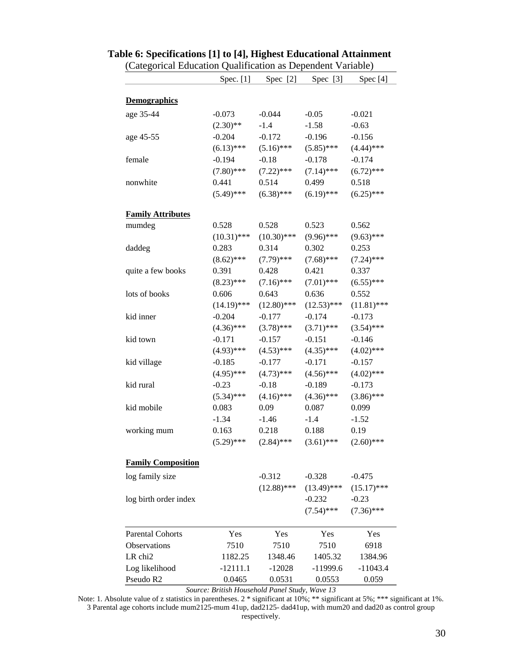|                           | Spec. [1]     | Spec [2]      | Spec $[3]$    | Spec <sup>[4]</sup> |
|---------------------------|---------------|---------------|---------------|---------------------|
| <b>Demographics</b>       |               |               |               |                     |
|                           |               |               |               |                     |
| age 35-44                 | $-0.073$      | $-0.044$      | $-0.05$       | $-0.021$            |
|                           | $(2.30)$ **   | $-1.4$        | $-1.58$       | $-0.63$             |
| age 45-55                 | $-0.204$      | $-0.172$      | $-0.196$      | $-0.156$            |
|                           | $(6.13)$ ***  | $(5.16)$ ***  | $(5.85)$ ***  | $(4.44)$ ***        |
| female                    | $-0.194$      | $-0.18$       | $-0.178$      | $-0.174$            |
|                           | $(7.80)$ ***  | $(7.22)$ ***  | $(7.14)$ ***  | $(6.72)$ ***        |
| nonwhite                  | 0.441         | 0.514         | 0.499         | 0.518               |
|                           | $(5.49)$ ***  | $(6.38)$ ***  | $(6.19)$ ***  | $(6.25)$ ***        |
| <b>Family Attributes</b>  |               |               |               |                     |
| mumdeg                    | 0.528         | 0.528         | 0.523         | 0.562               |
|                           | $(10.31)$ *** | $(10.30)$ *** | $(9.96)$ ***  | $(9.63)$ ***        |
| daddeg                    | 0.283         | 0.314         | 0.302         | 0.253               |
|                           | $(8.62)$ ***  | $(7.79)$ ***  | $(7.68)$ ***  | $(7.24)$ ***        |
| quite a few books         | 0.391         | 0.428         | 0.421         | 0.337               |
|                           | $(8.23)$ ***  | $(7.16)$ ***  | $(7.01)$ ***  | $(6.55)$ ***        |
| lots of books             | 0.606         | 0.643         | 0.636         | 0.552               |
|                           | $(14.19)$ *** | $(12.80)$ *** | $(12.53)$ *** | $(11.81)$ ***       |
| kid inner                 | $-0.204$      | $-0.177$      | $-0.174$      | $-0.173$            |
|                           | $(4.36)$ ***  | $(3.78)$ ***  | $(3.71)$ ***  | $(3.54)$ ***        |
| kid town                  | $-0.171$      | $-0.157$      | $-0.151$      | $-0.146$            |
|                           | $(4.93)$ ***  | $(4.53)$ ***  | $(4.35)$ ***  | $(4.02)$ ***        |
| kid village               | $-0.185$      | $-0.177$      | $-0.171$      | $-0.157$            |
|                           | $(4.95)$ ***  | $(4.73)$ ***  | $(4.56)$ ***  | $(4.02)$ ***        |
| kid rural                 | $-0.23$       | $-0.18$       | $-0.189$      | $-0.173$            |
|                           | $(5.34)$ ***  | $(4.16)$ ***  | $(4.36)$ ***  | $(3.86)$ ***        |
| kid mobile                | 0.083         | 0.09          | 0.087         | 0.099               |
|                           | $-1.34$       | $-1.46$       | $-1.4$        | $-1.52$             |
| working mum               | 0.163         | 0.218         | 0.188         | 0.19                |
|                           | $(5.29)$ ***  | $(2.84)$ ***  | $(3.61)$ ***  | $(2.60)$ ***        |
| <b>Family Composition</b> |               |               |               |                     |
| log family size           |               | $-0.312$      | $-0.328$      | $-0.475$            |
|                           |               | $(12.88)$ *** | $(13.49)$ *** | $(15.17)$ ***       |
| log birth order index     |               |               | $-0.232$      | $-0.23$             |
|                           |               |               | $(7.54)$ ***  | $(7.36)$ ***        |
|                           |               |               |               |                     |
| <b>Parental Cohorts</b>   | Yes           | Yes           | Yes           | Yes                 |
| Observations              | 7510          | 7510          | 7510          | 6918                |
| LR chi <sub>2</sub>       | 1182.25       | 1348.46       | 1405.32       | 1384.96             |
| Log likelihood            | $-12111.1$    | $-12028$      | $-11999.6$    | $-11043.4$          |
| Pseudo R2                 | 0.0465        | 0.0531        | 0.0553        | 0.059               |

### **Table 6: Specifications [1] to [4], Highest Educational Attainment**  (Categorical Education Qualification as Dependent Variable)

*Source: British Household Panel Study, Wave 13* Note: 1. Absolute value of z statistics in parentheses. 2 \* significant at 10%; \*\* significant at 5%; \*\*\* significant at 1%.

3 Parental age cohorts include mum2125-mum 41up, dad2125- dad41up, with mum20 and dad20 as control group respectively.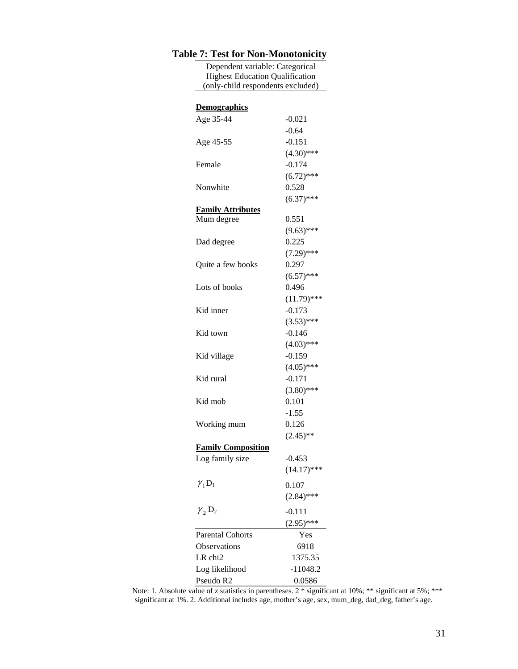### **Table 7: Test for Non-Monotonicity**

Dependent variable: Categorical Highest Education Qualification (only-child respondents excluded)

| <b>Demographics</b>       |               |
|---------------------------|---------------|
| Age 35-44                 | $-0.021$      |
|                           | $-0.64$       |
| Age 45-55                 | $-0.151$      |
|                           | $(4.30)$ ***  |
| Female                    | $-0.174$      |
|                           | $(6.72)$ ***  |
| Nonwhite                  | 0.528         |
|                           | $(6.37)$ ***  |
| <b>Family Attributes</b>  |               |
| Mum degree                | 0.551         |
|                           | $(9.63)$ ***  |
| Dad degree                | 0.225         |
|                           | $(7.29)$ ***  |
| Quite a few books         | 0.297         |
|                           | $(6.57)$ ***  |
| Lots of books             | 0.496         |
|                           | $(11.79)$ *** |
| Kid inner                 | $-0.173$      |
|                           | $(3.53)$ ***  |
| Kid town                  | $-0.146$      |
|                           | $(4.03)$ ***  |
| Kid village               | $-0.159$      |
|                           | $(4.05)$ ***  |
| Kid rural                 | $-0.171$      |
|                           | $(3.80)$ ***  |
| Kid mob                   | 0.101         |
|                           | $-1.55$       |
| Working mum               | 0.126         |
|                           | $(2.45)$ **   |
| <b>Family Composition</b> |               |
| Log family size           | $-0.453$      |
|                           | $(14.17)$ *** |
| $\gamma_1 D_1$            | 0.107         |
|                           | $(2.84)$ ***  |
| $\gamma_2 D_2$            |               |
|                           | -0.111        |
|                           | $(2.95)$ ***  |
| <b>Parental Cohorts</b>   | Yes           |
| Observations              | 6918          |
| LR chi2                   | 1375.35       |
| Log likelihood            | $-11048.2$    |
| Pseudo R2                 | 0.0586        |

Note: 1. Absolute value of z statistics in parentheses.  $2 *$  significant at 10%; \*\* significant at 5%; \*\*\* significant at 1%. 2. Additional includes age, mother's age, sex, mum\_deg, dad\_deg, father's age.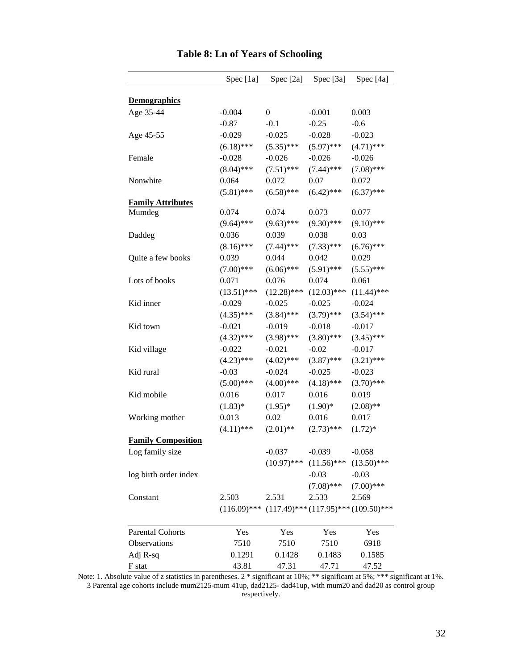|                           | Spec [1a]      | Spec [2a]     | Spec [3a]     | Spec [4a]                                    |
|---------------------------|----------------|---------------|---------------|----------------------------------------------|
| <b>Demographics</b>       |                |               |               |                                              |
| Age 35-44                 | $-0.004$       | $\mathbf{0}$  | $-0.001$      | 0.003                                        |
|                           | $-0.87$        | $-0.1$        | $-0.25$       | $-0.6$                                       |
| Age 45-55                 | $-0.029$       | $-0.025$      | $-0.028$      | $-0.023$                                     |
|                           | $(6.18)$ ***   | $(5.35)$ ***  | $(5.97)$ ***  | $(4.71)$ ***                                 |
| Female                    | $-0.028$       | $-0.026$      | $-0.026$      | $-0.026$                                     |
|                           | $(8.04)$ ***   | $(7.51)$ ***  | $(7.44)$ ***  | $(7.08)$ ***                                 |
| Nonwhite                  | 0.064          | 0.072         | 0.07          | 0.072                                        |
|                           | $(5.81)$ ***   | $(6.58)$ ***  | $(6.42)$ ***  | $(6.37)$ ***                                 |
| <b>Family Attributes</b>  |                |               |               |                                              |
| Mumdeg                    | 0.074          | 0.074         | 0.073         | 0.077                                        |
|                           | $(9.64)$ ***   | $(9.63)$ ***  | $(9.30)$ ***  | $(9.10)$ ***                                 |
| Daddeg                    | 0.036          | 0.039         | 0.038         | 0.03                                         |
|                           | $(8.16)$ ***   | $(7.44)$ ***  | $(7.33)$ ***  | $(6.76)$ ***                                 |
| Quite a few books         | 0.039          | 0.044         | 0.042         | 0.029                                        |
|                           | $(7.00)$ ***   | $(6.06)$ ***  | $(5.91)$ ***  | $(5.55)$ ***                                 |
| Lots of books             | 0.071          | 0.076         | 0.074         | 0.061                                        |
|                           | $(13.51)$ ***  | $(12.28)$ *** | $(12.03)$ *** | $(11.44)$ ***                                |
| Kid inner                 | $-0.029$       | $-0.025$      | $-0.025$      | $-0.024$                                     |
|                           | $(4.35)$ ***   | $(3.84)$ ***  | $(3.79)$ ***  | $(3.54)$ ***                                 |
| Kid town                  | $-0.021$       | $-0.019$      | $-0.018$      | $-0.017$                                     |
|                           | $(4.32)$ ***   | $(3.98)$ ***  | $(3.80)$ ***  | $(3.45)$ ***                                 |
| Kid village               | $-0.022$       | $-0.021$      | $-0.02$       | $-0.017$                                     |
|                           | $(4.23)$ ***   | $(4.02)$ ***  | $(3.87)$ ***  | $(3.21)$ ***                                 |
| Kid rural                 | $-0.03$        | $-0.024$      | $-0.025$      | $-0.023$                                     |
|                           | $(5.00)$ ***   | $(4.00)$ ***  | $(4.18)$ ***  | $(3.70)$ ***                                 |
| Kid mobile                | 0.016          | 0.017         | 0.016         | 0.019                                        |
|                           | $(1.83)*$      | $(1.95)^*$    | $(1.90)*$     | $(2.08)$ **                                  |
| Working mother            | 0.013          | 0.02          | 0.016         | 0.017                                        |
|                           | $(4.11)$ ***   | $(2.01)$ **   | $(2.73)$ ***  | $(1.72)^*$                                   |
| <b>Family Composition</b> |                |               |               |                                              |
| Log family size           |                | $-0.037$      | $-0.039$      | $-0.058$                                     |
|                           |                | $(10.97)$ *** | $(11.56)$ *** | $(13.50)$ ***                                |
| log birth order index     |                |               | $-0.03$       | $-0.03$                                      |
|                           |                |               | $(7.08)$ ***  | $(7.00)$ ***                                 |
| Constant                  | 2.503          | 2.531         | 2.533         | 2.569                                        |
|                           | $(116.09)$ *** |               |               | $(117.49)$ *** $(117.95)$ *** $(109.50)$ *** |
|                           |                |               |               |                                              |
| <b>Parental Cohorts</b>   | Yes            | Yes           | Yes           | Yes                                          |
| Observations              | 7510           | 7510          | 7510          | 6918                                         |
| Adj R-sq                  | 0.1291         | 0.1428        | 0.1483        | 0.1585                                       |
| F stat                    | 43.81          | 47.31         | 47.71         | 47.52                                        |

### **Table 8: Ln of Years of Schooling**

Note: 1. Absolute value of z statistics in parentheses. 2 \* significant at 10%; \*\* significant at 5%; \*\*\* significant at 1%. 3 Parental age cohorts include mum2125-mum 41up, dad2125- dad41up, with mum20 and dad20 as control group respectively.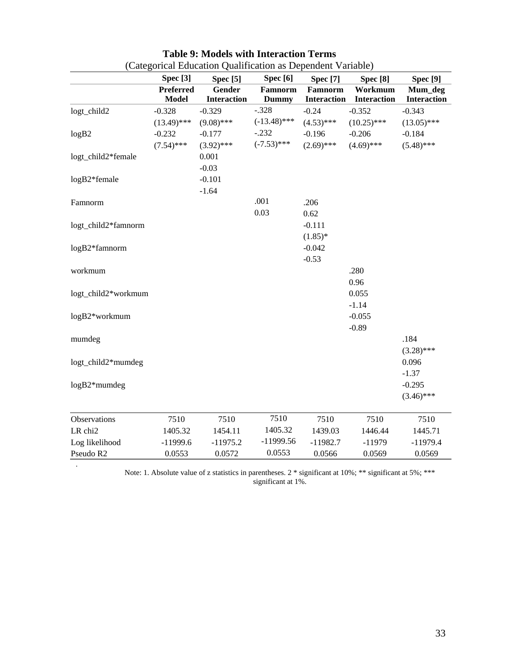|                     | <b>Spec</b> [3]  | <b>Spec</b> [5]    | Spec <sup>[6]</sup> | <b>Spec</b> [7]    | <b>Spec</b> [8]    | <b>Spec</b> [9]    |
|---------------------|------------------|--------------------|---------------------|--------------------|--------------------|--------------------|
|                     | <b>Preferred</b> | <b>Gender</b>      | Famnorm             | Famnorm            | Workmum            | Mum_deg            |
|                     | <b>Model</b>     | <b>Interaction</b> | <b>Dummy</b>        | <b>Interaction</b> | <b>Interaction</b> | <b>Interaction</b> |
| logt_child2         | $-0.328$         | $-0.329$           | $-.328$             | $-0.24$            | $-0.352$           | $-0.343$           |
|                     | $(13.49)$ ***    | $(9.08)$ ***       | $(-13.48)$ ***      | $(4.53)$ ***       | $(10.25)$ ***      | $(13.05)$ ***      |
| logB2               | $-0.232$         | $-0.177$           | $-.232$             | $-0.196$           | $-0.206$           | $-0.184$           |
|                     | $(7.54)$ ***     | $(3.92)$ ***       | $(-7.53)$ ***       | $(2.69)$ ***       | $(4.69)$ ***       | $(5.48)$ ***       |
| logt_child2*female  |                  | 0.001              |                     |                    |                    |                    |
|                     |                  | $-0.03$            |                     |                    |                    |                    |
| logB2*female        |                  | $-0.101$           |                     |                    |                    |                    |
|                     |                  | $-1.64$            |                     |                    |                    |                    |
| Famnorm             |                  |                    | .001                | .206               |                    |                    |
|                     |                  |                    | 0.03                | 0.62               |                    |                    |
| logt_child2*famnorm |                  |                    |                     | $-0.111$           |                    |                    |
|                     |                  |                    |                     | $(1.85)^*$         |                    |                    |
| logB2*famnorm       |                  |                    |                     | $-0.042$           |                    |                    |
|                     |                  |                    |                     | $-0.53$            |                    |                    |
| workmum             |                  |                    |                     |                    | .280               |                    |
|                     |                  |                    |                     |                    | 0.96               |                    |
| logt_child2*workmum |                  |                    |                     |                    | 0.055              |                    |
|                     |                  |                    |                     |                    | $-1.14$            |                    |
| logB2*workmum       |                  |                    |                     |                    | $-0.055$           |                    |
|                     |                  |                    |                     |                    | $-0.89$            |                    |
| mumdeg              |                  |                    |                     |                    |                    | .184               |
|                     |                  |                    |                     |                    |                    | $(3.28)$ ***       |
| logt_child2*mumdeg  |                  |                    |                     |                    |                    | 0.096              |
|                     |                  |                    |                     |                    |                    | $-1.37$            |
| $logB2*$ mumdeg     |                  |                    |                     |                    |                    | $-0.295$           |
|                     |                  |                    |                     |                    |                    | $(3.46)$ ***       |
|                     |                  |                    |                     |                    |                    |                    |
| Observations        | 7510             | 7510               | 7510                | 7510               | 7510               | 7510               |
| LR chi2             | 1405.32          | 1454.11            | 1405.32             | 1439.03            | 1446.44            | 1445.71            |
| Log likelihood      | $-11999.6$       | $-11975.2$         | $-11999.56$         | $-11982.7$         | $-11979$           | $-11979.4$         |
| Pseudo R2           | 0.0553           | 0.0572             | 0.0553              | 0.0566             | 0.0569             | 0.0569             |

### **Table 9: Models with Interaction Terms**  (Categorical Education Qualification as Dependent Variable)

Note: 1. Absolute value of z statistics in parentheses.  $2 *$  significant at 10%; \*\* significant at 5%; \*\*\* significant at 1%.

*.*